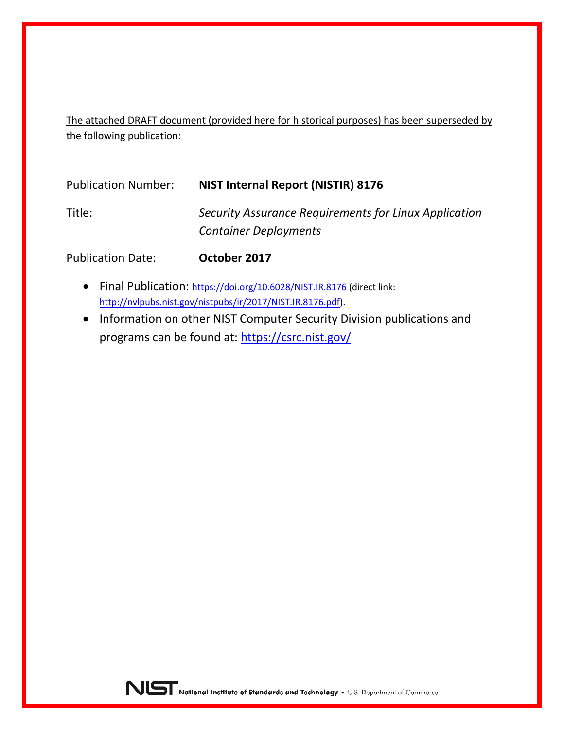The attached DRAFT document (provided here for historical purposes) has been superseded by the following publication:

| <b>Publication Number:</b> | NIST Internal Report (NISTIR) 8176                                                    |  |
|----------------------------|---------------------------------------------------------------------------------------|--|
| Title:                     | Security Assurance Requirements for Linux Application<br><b>Container Deployments</b> |  |
|                            |                                                                                       |  |

Publication Date: **October 2017**

- Final Publication:<https://doi.org/10.6028/NIST.IR.8176> (direct link: [http://nvlpubs.nist.gov/nistpubs/ir/2017/NIST.IR.8176.pdf\)](http://nvlpubs.nist.gov/nistpubs/ir/2017/NIST.IR.8176.pdf).
- Information on other NIST Computer Security Division publications and programs can be found at:<https://csrc.nist.gov/>

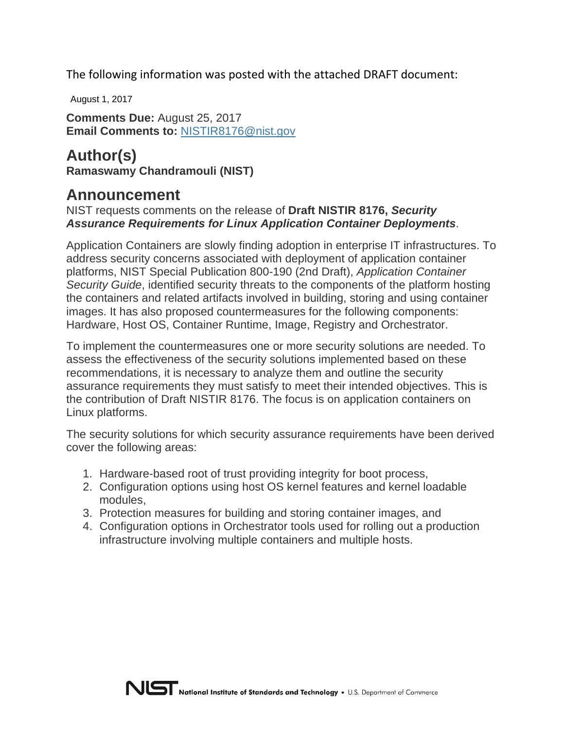The following information was posted with the attached DRAFT document:

August 1, 2017

**Comments Due:** August 25, 2017 **Email Comments to:** [NISTIR8176@nist.gov](mailto:%20NISTIR8176@nist.gov?Subject=Comments%20on%20Draft%20NISTIR%208176)

**Author(s) Ramaswamy Chandramouli (NIST)**

# **Announcement**

NIST requests comments on the release of **Draft NISTIR 8176,** *Security Assurance Requirements for Linux Application Container Deployments*.

Application Containers are slowly finding adoption in enterprise IT infrastructures. To address security concerns associated with deployment of application container platforms, NIST Special Publication 800-190 (2nd Draft), *Application Container Security Guide*, identified security threats to the components of the platform hosting the containers and related artifacts involved in building, storing and using container images. It has also proposed countermeasures for the following components: Hardware, Host OS, Container Runtime, Image, Registry and Orchestrator.

To implement the countermeasures one or more security solutions are needed. To assess the effectiveness of the security solutions implemented based on these recommendations, it is necessary to analyze them and outline the security assurance requirements they must satisfy to meet their intended objectives. This is the contribution of Draft NISTIR 8176. The focus is on application containers on Linux platforms.

The security solutions for which security assurance requirements have been derived cover the following areas:

- 1. Hardware-based root of trust providing integrity for boot process,
- 2. Configuration options using host OS kernel features and kernel loadable modules,
- 3. Protection measures for building and storing container images, and
- 4. Configuration options in Orchestrator tools used for rolling out a production infrastructure involving multiple containers and multiple hosts.

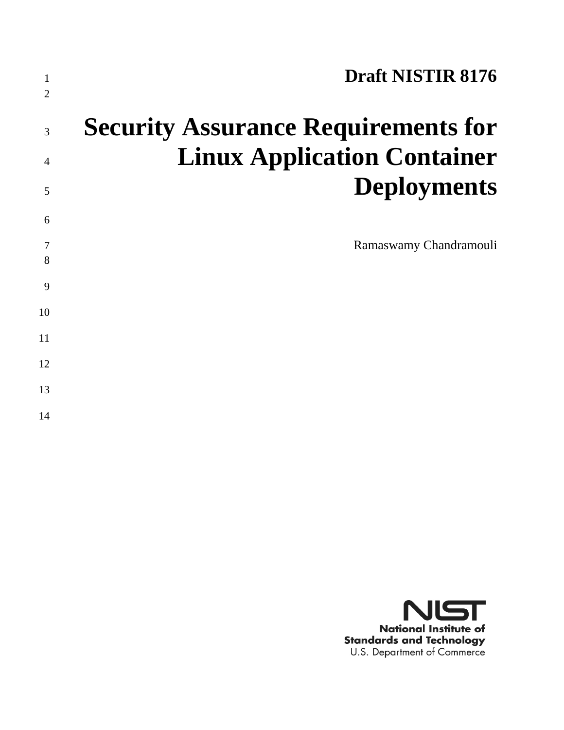| 1<br>$\overline{2}$ | <b>Draft NISTIR 8176</b>                   |
|---------------------|--------------------------------------------|
| 3                   | <b>Security Assurance Requirements for</b> |
| $\overline{4}$      | <b>Linux Application Container</b>         |
| 5                   | <b>Deployments</b>                         |
| 6                   |                                            |
| 7<br>8              | Ramaswamy Chandramouli                     |
| 9                   |                                            |
| 10                  |                                            |
| 11                  |                                            |
| 12                  |                                            |
| 13                  |                                            |
| 14                  |                                            |

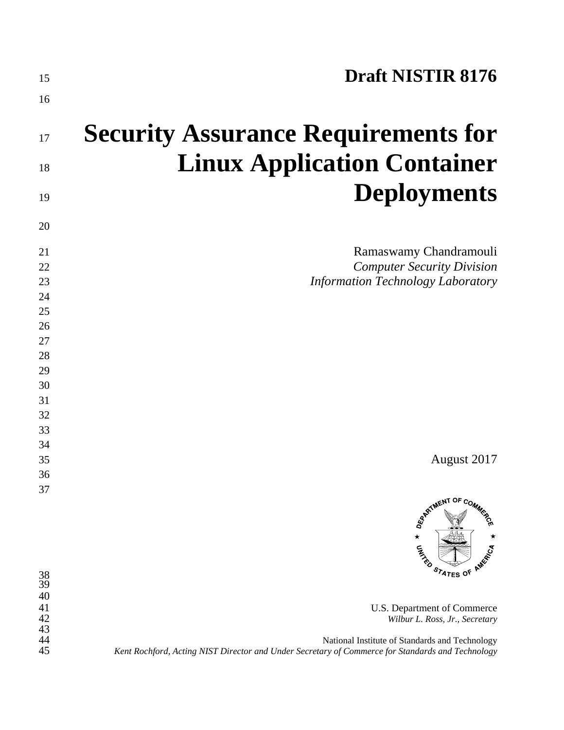| 15                          | <b>Draft NISTIR 8176</b>                                                                                                                                                             |
|-----------------------------|--------------------------------------------------------------------------------------------------------------------------------------------------------------------------------------|
| 16                          |                                                                                                                                                                                      |
| 17                          | <b>Security Assurance Requirements for</b>                                                                                                                                           |
| 18                          | <b>Linux Application Container</b>                                                                                                                                                   |
| 19                          | <b>Deployments</b>                                                                                                                                                                   |
| 20                          |                                                                                                                                                                                      |
| 21<br>22<br>23              | Ramaswamy Chandramouli<br><b>Computer Security Division</b><br><b>Information Technology Laboratory</b>                                                                              |
| 24<br>25                    |                                                                                                                                                                                      |
| 26<br>27                    |                                                                                                                                                                                      |
| 28<br>29                    |                                                                                                                                                                                      |
| 30<br>31                    |                                                                                                                                                                                      |
| 32<br>33                    |                                                                                                                                                                                      |
| 34<br>35                    | August 2017                                                                                                                                                                          |
| 36<br>37                    |                                                                                                                                                                                      |
|                             | <b>ARTIMENT OF COMMA</b><br>$\star$<br><b>CANAD</b><br>STATES OF                                                                                                                     |
| $\frac{38}{39}$<br>40<br>41 | U.S. Department of Commerce                                                                                                                                                          |
| 42<br>43<br>44<br>45        | Wilbur L. Ross, Jr., Secretary<br>National Institute of Standards and Technology<br>Kent Rochford, Acting NIST Director and Under Secretary of Commerce for Standards and Technology |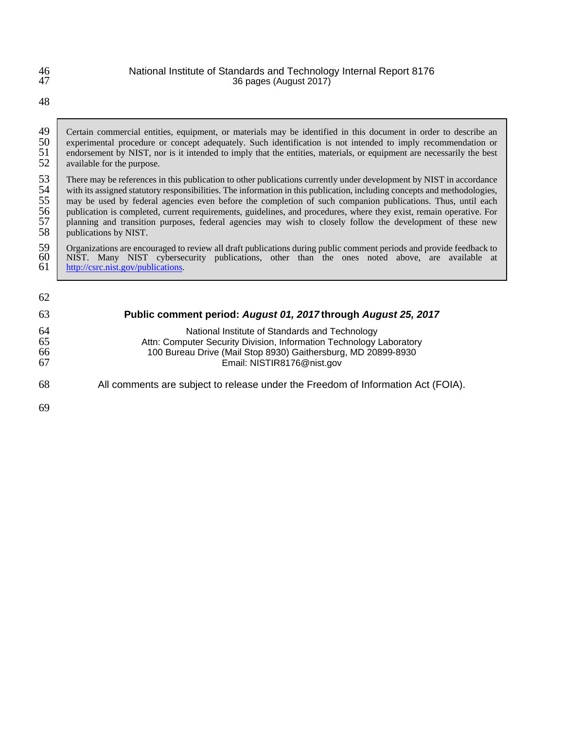| 46 | National Institute of Standards and Technology Internal Report 8176                                                      |
|----|--------------------------------------------------------------------------------------------------------------------------|
| 47 | 36 pages (August 2017)                                                                                                   |
| 48 |                                                                                                                          |
| 49 | Certain commercial entities, equipment, or materials may be identified in this document in order to describe an          |
| 50 | experimental procedure or concept adequately. Such identification is not intended to imply recommendation or             |
| 51 | endorsement by NIST, nor is it intended to imply that the entities, materials, or equipment are necessarily the best     |
| 52 | available for the purpose.                                                                                               |
| 53 | There may be references in this publication to other publications currently under development by NIST in accordance      |
| 54 | with its assigned statutory responsibilities. The information in this publication, including concepts and methodologies, |
| 55 | may be used by federal agencies even before the completion of such companion publications. Thus, until each              |
| 56 | publication is completed, current requirements, guidelines, and procedures, where they exist, remain operative. For      |
| 57 | planning and transition purposes, federal agencies may wish to closely follow the development of these new               |
| 58 | publications by NIST.                                                                                                    |
| 59 | Organizations are encouraged to review all draft publications during public comment periods and provide feedback to      |
| 60 | NIST. Many NIST cybersecurity publications, other than the ones noted above, are available at                            |
| 61 | http://csrc.nist.gov/publications.                                                                                       |
| 62 |                                                                                                                          |
| 63 | Public comment period: August 01, 2017 through August 25, 2017                                                           |

 National Institute of Standards and Technology Attn: Computer Security Division, Information Technology Laboratory 100 Bureau Drive (Mail Stop 8930) Gaithersburg, MD 20899-8930 Email: NISTIR8176@nist.gov

- All comments are subject to release under the Freedom of Information Act (FOIA).
-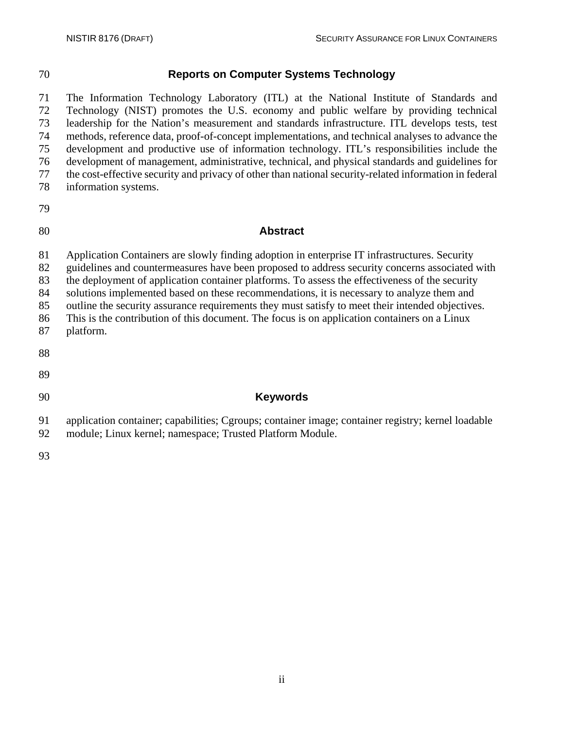### **Reports on Computer Systems Technology**

 The Information Technology Laboratory (ITL) at the National Institute of Standards and Technology (NIST) promotes the U.S. economy and public welfare by providing technical leadership for the Nation's measurement and standards infrastructure. ITL develops tests, test methods, reference data, proof-of-concept implementations, and technical analyses to advance the development and productive use of information technology. ITL's responsibilities include the development of management, administrative, technical, and physical standards and guidelines for the cost-effective security and privacy of other than national security-related information in federal information systems.

#### **Abstract**

Application Containers are slowly finding adoption in enterprise IT infrastructures. Security

guidelines and countermeasures have been proposed to address security concerns associated with

the deployment of application container platforms. To assess the effectiveness of the security

 solutions implemented based on these recommendations, it is necessary to analyze them and outline the security assurance requirements they must satisfy to meet their intended objectives.

This is the contribution of this document. The focus is on application containers on a Linux

- platform.
- 
- 
- 

#### **Keywords**

application container; capabilities; Cgroups; container image; container registry; kernel loadable

- module; Linux kernel; namespace; Trusted Platform Module.
-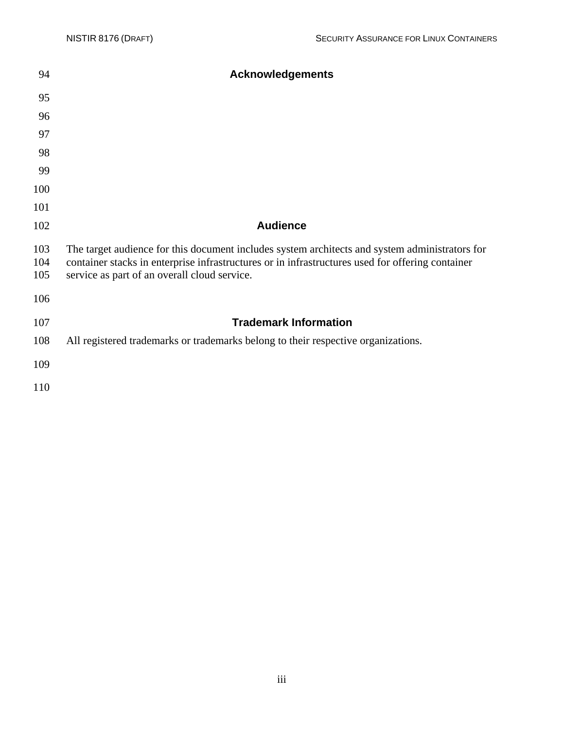| 94                | <b>Acknowledgements</b>                                                                                                                                                                                                                            |
|-------------------|----------------------------------------------------------------------------------------------------------------------------------------------------------------------------------------------------------------------------------------------------|
| 95                |                                                                                                                                                                                                                                                    |
| 96                |                                                                                                                                                                                                                                                    |
| 97                |                                                                                                                                                                                                                                                    |
| 98                |                                                                                                                                                                                                                                                    |
| 99                |                                                                                                                                                                                                                                                    |
| 100               |                                                                                                                                                                                                                                                    |
| 101               |                                                                                                                                                                                                                                                    |
| 102               | <b>Audience</b>                                                                                                                                                                                                                                    |
| 103<br>104<br>105 | The target audience for this document includes system architects and system administrators for<br>container stacks in enterprise infrastructures or in infrastructures used for offering container<br>service as part of an overall cloud service. |
| 106               |                                                                                                                                                                                                                                                    |
| 107               | <b>Trademark Information</b>                                                                                                                                                                                                                       |
| 108               | All registered trademarks or trademarks belong to their respective organizations.                                                                                                                                                                  |
| 109               |                                                                                                                                                                                                                                                    |
| 110               |                                                                                                                                                                                                                                                    |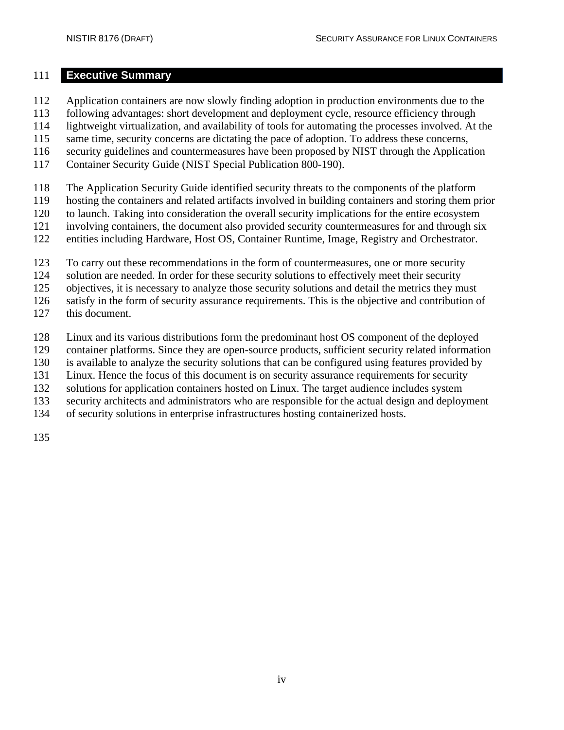#### <span id="page-7-0"></span>**Executive Summary**

- Application containers are now slowly finding adoption in production environments due to the
- following advantages: short development and deployment cycle, resource efficiency through
- lightweight virtualization, and availability of tools for automating the processes involved. At the
- 115 same time, security concerns are dictating the pace of adoption. To address these concerns,
- security guidelines and countermeasures have been proposed by NIST through the Application
- Container Security Guide (NIST Special Publication 800-190).
- The Application Security Guide identified security threats to the components of the platform
- hosting the containers and related artifacts involved in building containers and storing them prior
- to launch. Taking into consideration the overall security implications for the entire ecosystem
- involving containers, the document also provided security countermeasures for and through six
- entities including Hardware, Host OS, Container Runtime, Image, Registry and Orchestrator.
- To carry out these recommendations in the form of countermeasures, one or more security
- 124 solution are needed. In order for these security solutions to effectively meet their security
- objectives, it is necessary to analyze those security solutions and detail the metrics they must
- satisfy in the form of security assurance requirements. This is the objective and contribution of
- this document.
- Linux and its various distributions form the predominant host OS component of the deployed
- container platforms. Since they are open-source products, sufficient security related information
- is available to analyze the security solutions that can be configured using features provided by
- Linux. Hence the focus of this document is on security assurance requirements for security
- solutions for application containers hosted on Linux. The target audience includes system
- security architects and administrators who are responsible for the actual design and deployment
- of security solutions in enterprise infrastructures hosting containerized hosts.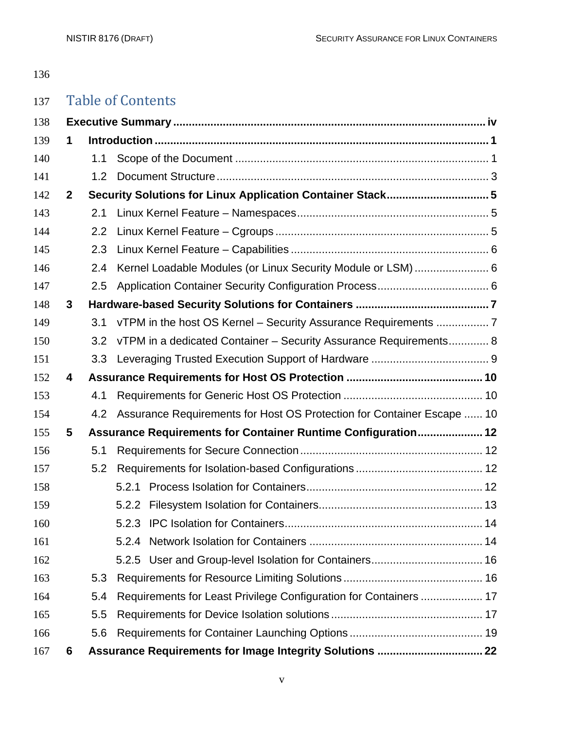# Table of Contents

| 138 |              |                  |                                                                        |  |  |
|-----|--------------|------------------|------------------------------------------------------------------------|--|--|
| 139 | 1            |                  |                                                                        |  |  |
| 140 |              | 1.1              |                                                                        |  |  |
| 141 |              | 1.2 <sub>2</sub> |                                                                        |  |  |
| 142 | $\mathbf{2}$ |                  | Security Solutions for Linux Application Container Stack5              |  |  |
| 143 |              | 2.1              |                                                                        |  |  |
| 144 |              | $2.2^{\circ}$    |                                                                        |  |  |
| 145 |              | 2.3              |                                                                        |  |  |
| 146 |              | 2.4              | Kernel Loadable Modules (or Linux Security Module or LSM)  6           |  |  |
| 147 |              | 2.5              |                                                                        |  |  |
| 148 | 3            |                  |                                                                        |  |  |
| 149 |              | 3.1              | vTPM in the host OS Kernel - Security Assurance Requirements  7        |  |  |
| 150 |              | 3.2              | vTPM in a dedicated Container - Security Assurance Requirements 8      |  |  |
| 151 |              | 3.3              |                                                                        |  |  |
| 152 | 4            |                  |                                                                        |  |  |
| 153 |              | 4.1              |                                                                        |  |  |
| 154 |              | 4.2              | Assurance Requirements for Host OS Protection for Container Escape  10 |  |  |
| 155 | 5            |                  | Assurance Requirements for Container Runtime Configuration 12          |  |  |
| 156 |              | 5.1              |                                                                        |  |  |
| 157 |              | 5.2              |                                                                        |  |  |
| 158 |              |                  |                                                                        |  |  |
| 159 |              |                  |                                                                        |  |  |
| 160 |              |                  |                                                                        |  |  |
| 161 |              |                  |                                                                        |  |  |
| 162 |              |                  |                                                                        |  |  |
| 163 |              | 5.3              |                                                                        |  |  |
| 164 |              | 5.4              | Requirements for Least Privilege Configuration for Containers  17      |  |  |
| 165 |              | 5.5              |                                                                        |  |  |
| 166 |              | 5.6              |                                                                        |  |  |
| 167 | 6            |                  |                                                                        |  |  |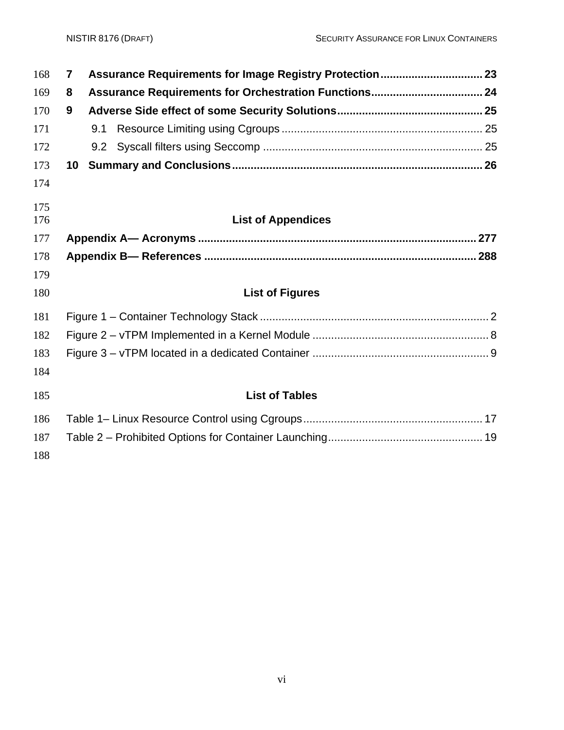| 168 | $\overline{7}$ |                           |  |
|-----|----------------|---------------------------|--|
| 169 | 8              |                           |  |
| 170 | 9              |                           |  |
| 171 |                |                           |  |
| 172 |                |                           |  |
| 173 |                |                           |  |
| 174 |                |                           |  |
| 175 |                |                           |  |
| 176 |                | <b>List of Appendices</b> |  |
| 177 |                |                           |  |
| 178 |                |                           |  |
| 179 |                |                           |  |
| 180 |                | <b>List of Figures</b>    |  |
| 181 |                |                           |  |
| 182 |                |                           |  |
| 183 |                |                           |  |
| 184 |                |                           |  |
| 185 |                | <b>List of Tables</b>     |  |
| 186 |                |                           |  |
| 187 |                |                           |  |
| 188 |                |                           |  |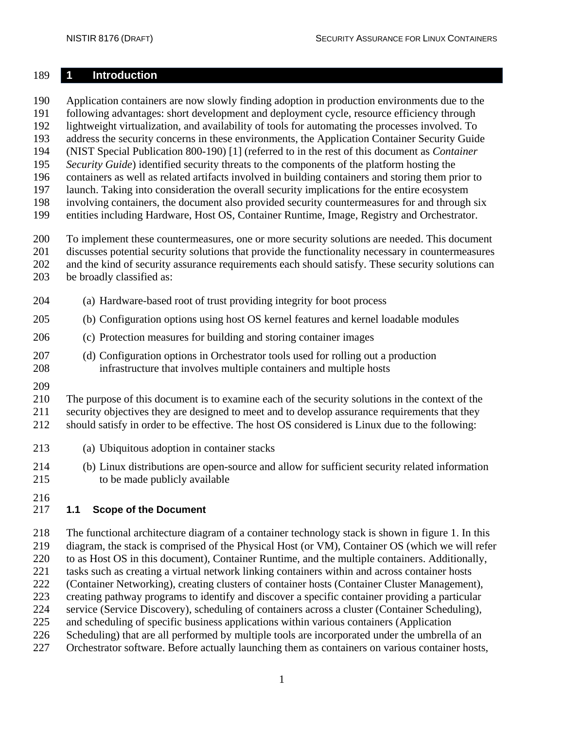#### <span id="page-10-0"></span>**1 Introduction**

Application containers are now slowly finding adoption in production environments due to the

following advantages: short development and deployment cycle, resource efficiency through

lightweight virtualization, and availability of tools for automating the processes involved. To

 address the security concerns in these environments, the Application Container Security Guide (NIST Special Publication 800-190) [1] (referred to in the rest of this document as *Container* 

*Security Guide*) identified security threats to the components of the platform hosting the

containers as well as related artifacts involved in building containers and storing them prior to

launch. Taking into consideration the overall security implications for the entire ecosystem

involving containers, the document also provided security countermeasures for and through six

entities including Hardware, Host OS, Container Runtime, Image, Registry and Orchestrator.

To implement these countermeasures, one or more security solutions are needed. This document

discusses potential security solutions that provide the functionality necessary in countermeasures

and the kind of security assurance requirements each should satisfy. These security solutions can

- be broadly classified as:
- (a) Hardware-based root of trust providing integrity for boot process
- (b) Configuration options using host OS kernel features and kernel loadable modules
- (c) Protection measures for building and storing container images
- (d) Configuration options in Orchestrator tools used for rolling out a production infrastructure that involves multiple containers and multiple hosts
- 

The purpose of this document is to examine each of the security solutions in the context of the

security objectives they are designed to meet and to develop assurance requirements that they

should satisfy in order to be effective. The host OS considered is Linux due to the following:

- (a) Ubiquitous adoption in container stacks
- (b) Linux distributions are open-source and allow for sufficient security related information to be made publicly available
- 

## <span id="page-10-1"></span>**1.1 Scope of the Document**

 The functional architecture diagram of a container technology stack is shown in figure 1. In this diagram, the stack is comprised of the Physical Host (or VM), Container OS (which we will refer to as Host OS in this document), Container Runtime, and the multiple containers. Additionally, tasks such as creating a virtual network linking containers within and across container hosts (Container Networking), creating clusters of container hosts (Container Cluster Management), creating pathway programs to identify and discover a specific container providing a particular service (Service Discovery), scheduling of containers across a cluster (Container Scheduling), and scheduling of specific business applications within various containers (Application Scheduling) that are all performed by multiple tools are incorporated under the umbrella of an Orchestrator software. Before actually launching them as containers on various container hosts,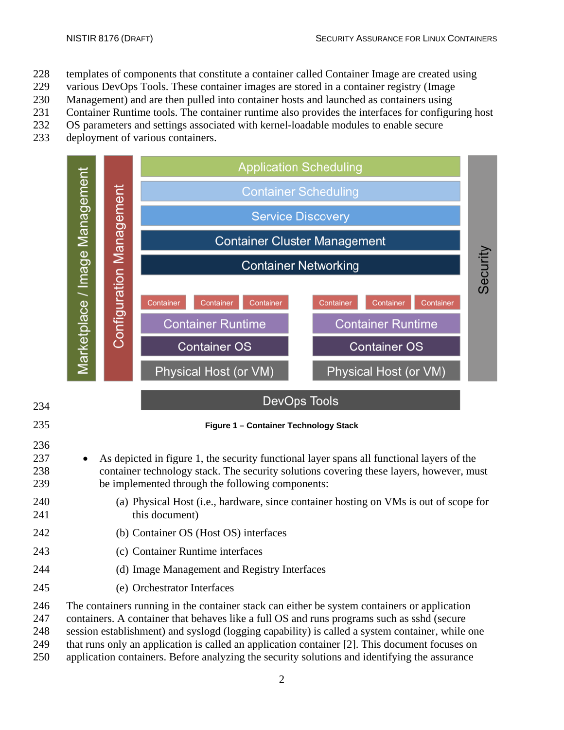- templates of components that constitute a container called Container Image are created using
- various DevOps Tools. These container images are stored in a container registry (Image
- Management) and are then pulled into container hosts and launched as containers using
- Container Runtime tools. The container runtime also provides the interfaces for configuring host
- OS parameters and settings associated with kernel-loadable modules to enable secure
- deployment of various containers.



- 237 As depicted in figure 1, the security functional layer spans all functional layers of the container technology stack. The security solutions covering these layers, however, must be implemented through the following components:
- (a) Physical Host (i.e., hardware, since container hosting on VMs is out of scope for 241 this document)
- (b) Container OS (Host OS) interfaces
- (c) Container Runtime interfaces
- (d) Image Management and Registry Interfaces
- (e) Orchestrator Interfaces

<span id="page-11-0"></span>

The containers running in the container stack can either be system containers or application

containers. A container that behaves like a full OS and runs programs such as sshd (secure

session establishment) and syslogd (logging capability) is called a system container, while one

that runs only an application is called an application container [2]. This document focuses on

application containers. Before analyzing the security solutions and identifying the assurance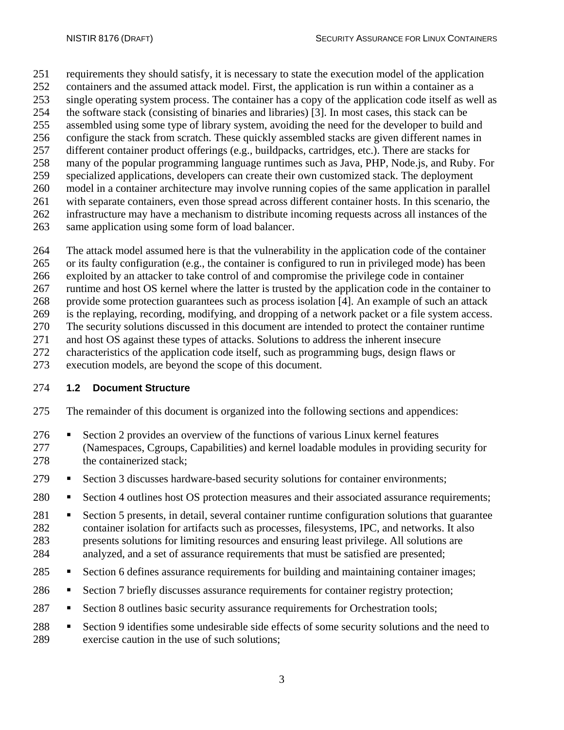requirements they should satisfy, it is necessary to state the execution model of the application

- containers and the assumed attack model. First, the application is run within a container as a
- single operating system process. The container has a copy of the application code itself as well as
- the software stack (consisting of binaries and libraries) [3]. In most cases, this stack can be
- assembled using some type of library system, avoiding the need for the developer to build and configure the stack from scratch. These quickly assembled stacks are given different names in
- different container product offerings (e.g., buildpacks, cartridges, etc.). There are stacks for
- many of the popular programming language runtimes such as Java, PHP, Node.js, and Ruby. For
- specialized applications, developers can create their own customized stack. The deployment
- model in a container architecture may involve running copies of the same application in parallel
- with separate containers, even those spread across different container hosts. In this scenario, the
- infrastructure may have a mechanism to distribute incoming requests across all instances of the
- same application using some form of load balancer.
- The attack model assumed here is that the vulnerability in the application code of the container
- or its faulty configuration (e.g., the container is configured to run in privileged mode) has been
- exploited by an attacker to take control of and compromise the privilege code in container
- runtime and host OS kernel where the latter is trusted by the application code in the container to
- provide some protection guarantees such as process isolation [4]. An example of such an attack
- is the replaying, recording, modifying, and dropping of a network packet or a file system access. The security solutions discussed in this document are intended to protect the container runtime
- and host OS against these types of attacks. Solutions to address the inherent insecure
- 
- 272 characteristics of the application code itself, such as programming bugs, design flaws or execution models, are beyond the scope of this document. execution models, are beyond the scope of this document.

## <span id="page-12-0"></span>**1.2 Document Structure**

- The remainder of this document is organized into the following sections and appendices:
- 276 Section 2 provides an overview of the functions of various Linux kernel features (Namespaces, Cgroups, Capabilities) and kernel loadable modules in providing security for 278 the containerized stack;
- 279 Section 3 discusses hardware-based security solutions for container environments;
- 280 Section 4 outlines host OS protection measures and their associated assurance requirements;
- 281 Section 5 presents, in detail, several container runtime configuration solutions that guarantee container isolation for artifacts such as processes, filesystems, IPC, and networks. It also presents solutions for limiting resources and ensuring least privilege. All solutions are analyzed, and a set of assurance requirements that must be satisfied are presented;
- 285 Section 6 defines assurance requirements for building and maintaining container images;
- 286 Section 7 briefly discusses assurance requirements for container registry protection;
- 287 Section 8 outlines basic security assurance requirements for Orchestration tools;
- 288 Section 9 identifies some undesirable side effects of some security solutions and the need to exercise caution in the use of such solutions;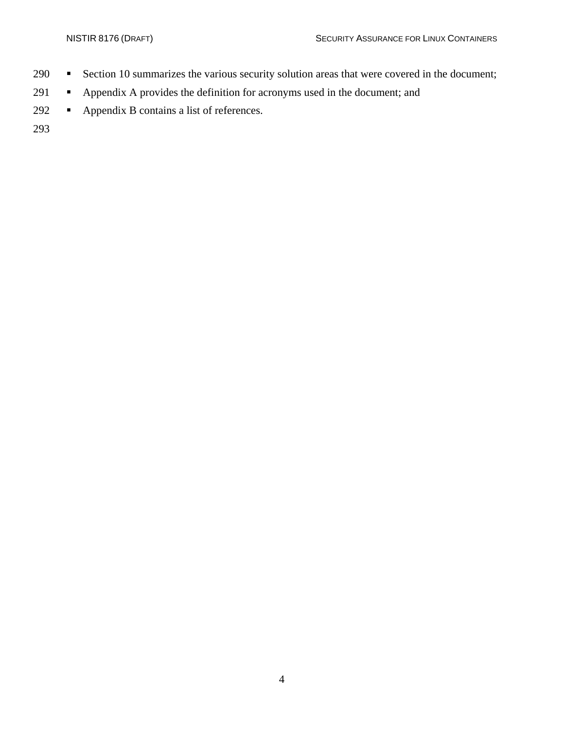- 290 **Section** 10 summarizes the various security solution areas that were covered in the document;
- 291 Appendix A provides the definition for acronyms used in the document; and
- 292 Appendix B contains a list of references.

293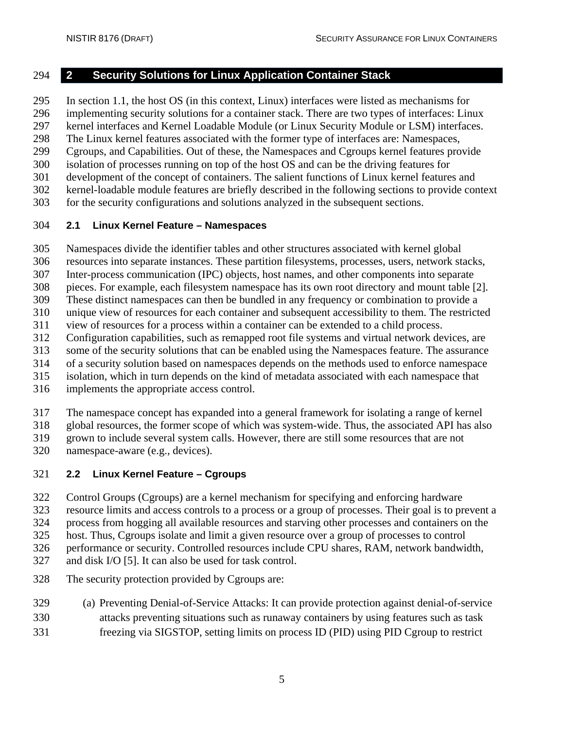#### <span id="page-14-0"></span>**2 Security Solutions for Linux Application Container Stack**

In section 1.1, the host OS (in this context, Linux) interfaces were listed as mechanisms for

implementing security solutions for a container stack. There are two types of interfaces: Linux

kernel interfaces and Kernel Loadable Module (or Linux Security Module or LSM) interfaces.

The Linux kernel features associated with the former type of interfaces are: Namespaces,

Cgroups, and Capabilities. Out of these, the Namespaces and Cgroups kernel features provide

isolation of processes running on top of the host OS and can be the driving features for

- development of the concept of containers. The salient functions of Linux kernel features and
- kernel-loadable module features are briefly described in the following sections to provide context
- for the security configurations and solutions analyzed in the subsequent sections.

### <span id="page-14-1"></span>**2.1 Linux Kernel Feature – Namespaces**

Namespaces divide the identifier tables and other structures associated with kernel global

resources into separate instances. These partition filesystems, processes, users, network stacks,

Inter-process communication (IPC) objects, host names, and other components into separate

pieces. For example, each filesystem namespace has its own root directory and mount table [2].

These distinct namespaces can then be bundled in any frequency or combination to provide a

unique view of resources for each container and subsequent accessibility to them. The restricted

view of resources for a process within a container can be extended to a child process.

Configuration capabilities, such as remapped root file systems and virtual network devices, are

some of the security solutions that can be enabled using the Namespaces feature. The assurance

 of a security solution based on namespaces depends on the methods used to enforce namespace isolation, which in turn depends on the kind of metadata associated with each namespace that

implements the appropriate access control.

The namespace concept has expanded into a general framework for isolating a range of kernel

global resources, the former scope of which was system-wide. Thus, the associated API has also

grown to include several system calls. However, there are still some resources that are not

namespace-aware (e.g., devices).

## <span id="page-14-2"></span>**2.2 Linux Kernel Feature – Cgroups**

Control Groups (Cgroups) are a kernel mechanism for specifying and enforcing hardware

resource limits and access controls to a process or a group of processes. Their goal is to prevent a

process from hogging all available resources and starving other processes and containers on the

host. Thus, Cgroups isolate and limit a given resource over a group of processes to control

performance or security. Controlled resources include CPU shares, RAM, network bandwidth,

- and disk I/O [5]. It can also be used for task control.
- The security protection provided by Cgroups are:
- (a) Preventing Denial-of-Service Attacks: It can provide protection against denial-of-service
- attacks preventing situations such as runaway containers by using features such as task
- freezing via SIGSTOP, setting limits on process ID (PID) using PID Cgroup to restrict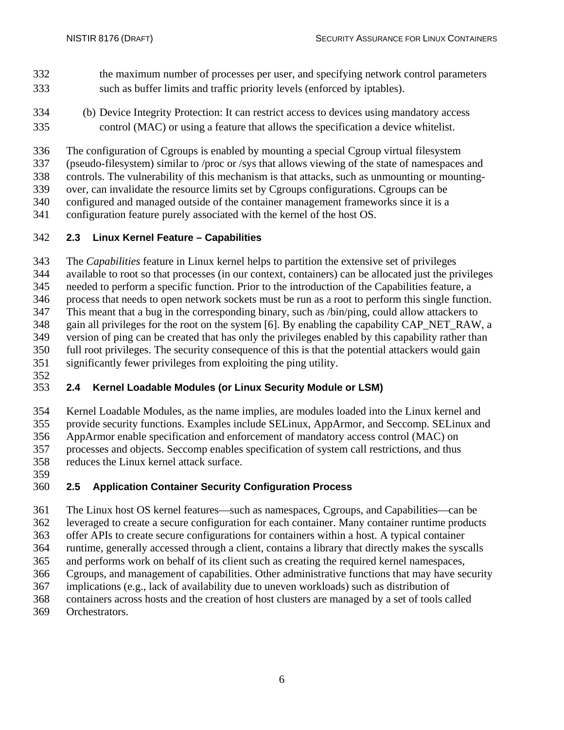- the maximum number of processes per user, and specifying network control parameters such as buffer limits and traffic priority levels (enforced by iptables).
- (b) Device Integrity Protection: It can restrict access to devices using mandatory access control (MAC) or using a feature that allows the specification a device whitelist.
- The configuration of Cgroups is enabled by mounting a special Cgroup virtual filesystem
- (pseudo-filesystem) similar to /proc or /sys that allows viewing of the state of namespaces and
- controls. The vulnerability of this mechanism is that attacks, such as unmounting or mounting-
- over, can invalidate the resource limits set by Cgroups configurations. Cgroups can be
- configured and managed outside of the container management frameworks since it is a
- configuration feature purely associated with the kernel of the host OS.

#### <span id="page-15-0"></span>**2.3 Linux Kernel Feature – Capabilities**

 The *Capabilities* feature in Linux kernel helps to partition the extensive set of privileges available to root so that processes (in our context, containers) can be allocated just the privileges needed to perform a specific function. Prior to the introduction of the Capabilities feature, a process that needs to open network sockets must be run as a root to perform this single function. This meant that a bug in the corresponding binary, such as /bin/ping, could allow attackers to

348 gain all privileges for the root on the system [6]. By enabling the capability CAP\_NET\_RAW, a version of ping can be created that has only the privileges enabled by this capability rather than full root privileges. The security consequence of this is that the potential attackers would gain significantly fewer privileges from exploiting the ping utility.

## <span id="page-15-1"></span>**2.4 Kernel Loadable Modules (or Linux Security Module or LSM)**

 Kernel Loadable Modules, as the name implies, are modules loaded into the Linux kernel and provide security functions. Examples include SELinux, AppArmor, and Seccomp. SELinux and AppArmor enable specification and enforcement of mandatory access control (MAC) on processes and objects. Seccomp enables specification of system call restrictions, and thus reduces the Linux kernel attack surface.

#### <span id="page-15-2"></span>359<br>360 **2.5 Application Container Security Configuration Process**

 The Linux host OS kernel features—such as namespaces, Cgroups, and Capabilities—can be leveraged to create a secure configuration for each container. Many container runtime products offer APIs to create secure configurations for containers within a host. A typical container runtime, generally accessed through a client, contains a library that directly makes the syscalls and performs work on behalf of its client such as creating the required kernel namespaces, Cgroups, and management of capabilities. Other administrative functions that may have security implications (e.g., lack of availability due to uneven workloads) such as distribution of containers across hosts and the creation of host clusters are managed by a set of tools called Orchestrators.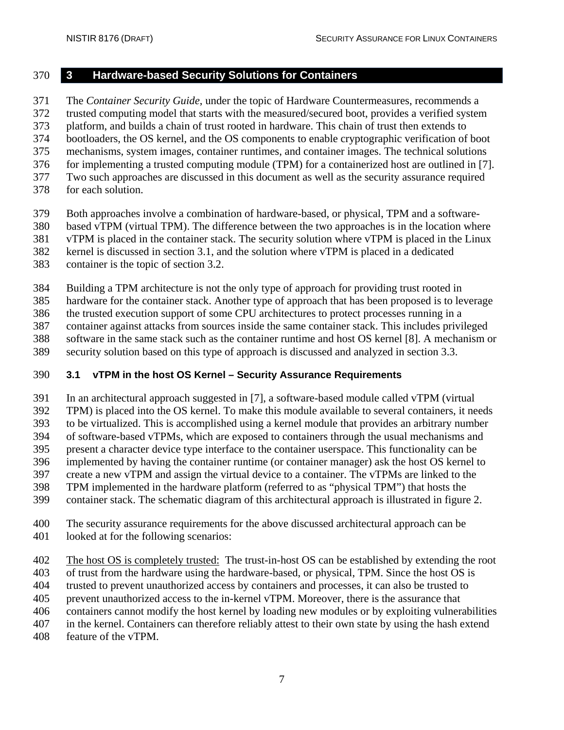#### <span id="page-16-0"></span>**3 Hardware-based Security Solutions for Containers**

The *Container Security Guide*, under the topic of Hardware Countermeasures, recommends a

trusted computing model that starts with the measured/secured boot, provides a verified system

373 platform, and builds a chain of trust rooted in hardware. This chain of trust then extends to bootloaders, the OS kernel, and the OS components to enable cryptographic verification of

- bootloaders, the OS kernel, and the OS components to enable cryptographic verification of boot mechanisms, system images, container runtimes, and container images. The technical solutions
- for implementing a trusted computing module (TPM) for a containerized host are outlined in [7].
- Two such approaches are discussed in this document as well as the security assurance required
- for each solution.
- Both approaches involve a combination of hardware-based, or physical, TPM and a software-
- based vTPM (virtual TPM). The difference between the two approaches is in the location where

vTPM is placed in the container stack. The security solution where vTPM is placed in the Linux

kernel is discussed in section 3.1, and the solution where vTPM is placed in a dedicated

container is the topic of section 3.2.

Building a TPM architecture is not the only type of approach for providing trust rooted in

hardware for the container stack. Another type of approach that has been proposed is to leverage

the trusted execution support of some CPU architectures to protect processes running in a

- container against attacks from sources inside the same container stack. This includes privileged software in the same stack such as the container runtime and host OS kernel [8]. A mechanism or
- security solution based on this type of approach is discussed and analyzed in section 3.3.

## <span id="page-16-1"></span>**3.1 vTPM in the host OS Kernel – Security Assurance Requirements**

 In an architectural approach suggested in [7], a software-based module called vTPM (virtual TPM) is placed into the OS kernel. To make this module available to several containers, it needs

to be virtualized. This is accomplished using a kernel module that provides an arbitrary number

of software-based vTPMs, which are exposed to containers through the usual mechanisms and

- present a character device type interface to the container userspace. This functionality can be
- implemented by having the container runtime (or container manager) ask the host OS kernel to
- create a new vTPM and assign the virtual device to a container. The vTPMs are linked to the
- TPM implemented in the hardware platform (referred to as "physical TPM") that hosts the
- container stack. The schematic diagram of this architectural approach is illustrated in figure 2.
- The security assurance requirements for the above discussed architectural approach can be looked at for the following scenarios:

The host OS is completely trusted: The trust-in-host OS can be established by extending the root

of trust from the hardware using the hardware-based, or physical, TPM. Since the host OS is

trusted to prevent unauthorized access by containers and processes, it can also be trusted to

prevent unauthorized access to the in-kernel vTPM. Moreover, there is the assurance that

containers cannot modify the host kernel by loading new modules or by exploiting vulnerabilities

in the kernel. Containers can therefore reliably attest to their own state by using the hash extend

feature of the vTPM.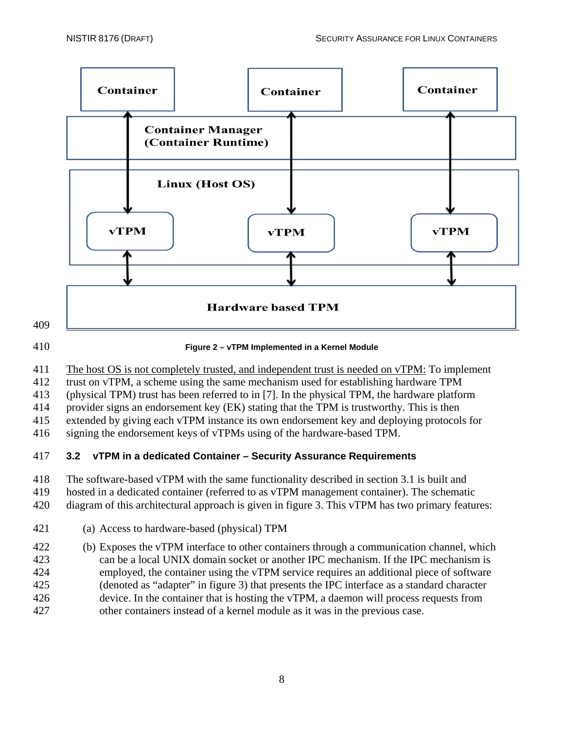

#### <span id="page-17-1"></span>**Figure 2 – vTPM Implemented in a Kernel Module**

The host OS is not completely trusted, and independent trust is needed on vTPM: To implement

trust on vTPM, a scheme using the same mechanism used for establishing hardware TPM

(physical TPM) trust has been referred to in [7]. In the physical TPM, the hardware platform

provider signs an endorsement key (EK) stating that the TPM is trustworthy. This is then

extended by giving each vTPM instance its own endorsement key and deploying protocols for

signing the endorsement keys of vTPMs using of the hardware-based TPM.

## <span id="page-17-0"></span>**3.2 vTPM in a dedicated Container – Security Assurance Requirements**

The software-based vTPM with the same functionality described in section 3.1 is built and

hosted in a dedicated container (referred to as vTPM management container). The schematic

diagram of this architectural approach is given in figure 3. This vTPM has two primary features:

(a) Access to hardware-based (physical) TPM

 (b) Exposes the vTPM interface to other containers through a communication channel, which can be a local UNIX domain socket or another IPC mechanism. If the IPC mechanism is employed, the container using the vTPM service requires an additional piece of software (denoted as "adapter" in figure 3) that presents the IPC interface as a standard character device. In the container that is hosting the vTPM, a daemon will process requests from other containers instead of a kernel module as it was in the previous case.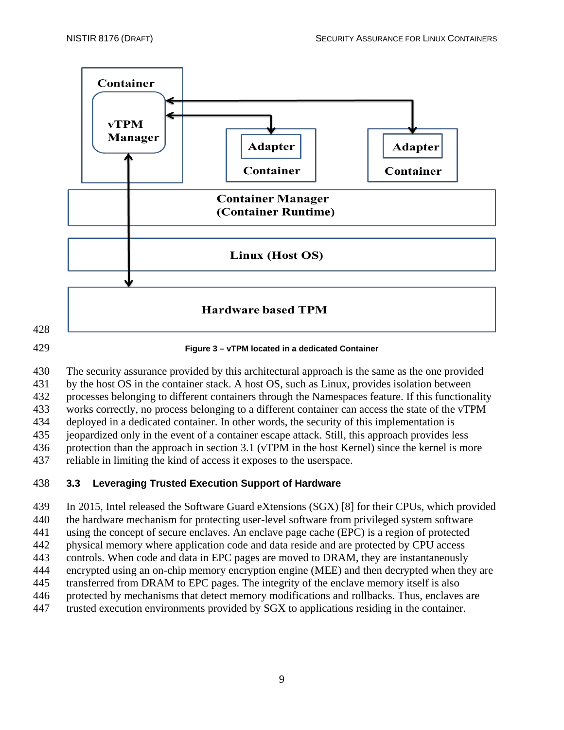

<span id="page-18-1"></span> The security assurance provided by this architectural approach is the same as the one provided by the host OS in the container stack. A host OS, such as Linux, provides isolation between processes belonging to different containers through the Namespaces feature. If this functionality works correctly, no process belonging to a different container can access the state of the vTPM deployed in a dedicated container. In other words, the security of this implementation is

 jeopardized only in the event of a container escape attack. Still, this approach provides less protection than the approach in section 3.1 (vTPM in the host Kernel) since the kernel is more

reliable in limiting the kind of access it exposes to the userspace.

## <span id="page-18-0"></span>**3.3 Leveraging Trusted Execution Support of Hardware**

In 2015, Intel released the Software Guard eXtensions (SGX) [8] for their CPUs, which provided

the hardware mechanism for protecting user-level software from privileged system software

using the concept of secure enclaves. An enclave page cache (EPC) is a region of protected

 physical memory where application code and data reside and are protected by CPU access controls. When code and data in EPC pages are moved to DRAM, they are instantaneously

encrypted using an on-chip memory encryption engine (MEE) and then decrypted when they are

transferred from DRAM to EPC pages. The integrity of the enclave memory itself is also

protected by mechanisms that detect memory modifications and rollbacks. Thus, enclaves are

trusted execution environments provided by SGX to applications residing in the container.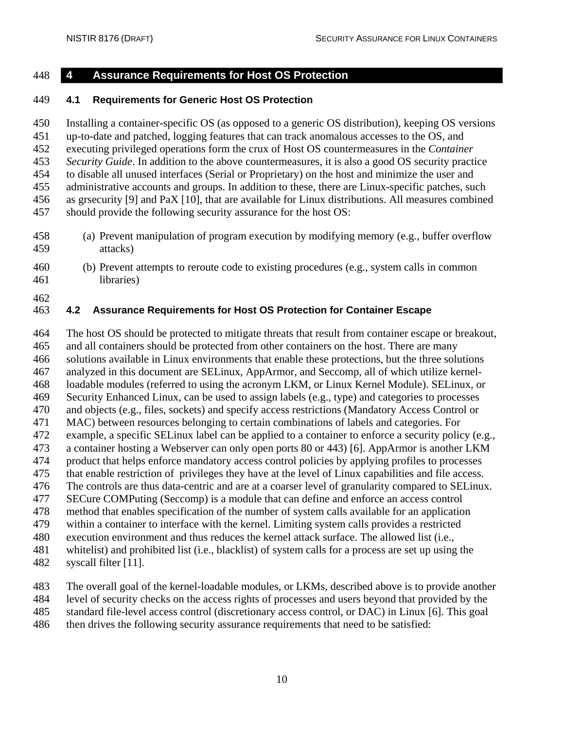<span id="page-19-0"></span>

#### **4 Assurance Requirements for Host OS Protection**

#### <span id="page-19-1"></span>**4.1 Requirements for Generic Host OS Protection**

 Installing a container-specific OS (as opposed to a generic OS distribution), keeping OS versions up-to-date and patched, logging features that can track anomalous accesses to the OS, and executing privileged operations form the crux of Host OS countermeasures in the *Container Security Guide*. In addition to the above countermeasures, it is also a good OS security practice to disable all unused interfaces (Serial or Proprietary) on the host and minimize the user and administrative accounts and groups. In addition to these, there are Linux-specific patches, such as grsecurity [9] and PaX [10], that are available for Linux distributions. All measures combined should provide the following security assurance for the host OS:

- (a) Prevent manipulation of program execution by modifying memory (e.g., buffer overflow attacks)
- (b) Prevent attempts to reroute code to existing procedures (e.g., system calls in common libraries)
- 

#### <span id="page-19-2"></span>**4.2 Assurance Requirements for Host OS Protection for Container Escape**

 The host OS should be protected to mitigate threats that result from container escape or breakout, and all containers should be protected from other containers on the host. There are many solutions available in Linux environments that enable these protections, but the three solutions analyzed in this document are SELinux, AppArmor, and Seccomp, all of which utilize kernel- loadable modules (referred to using the acronym LKM, or Linux Kernel Module). SELinux, or Security Enhanced Linux, can be used to assign labels (e.g., type) and categories to processes and objects (e.g., files, sockets) and specify access restrictions (Mandatory Access Control or MAC) between resources belonging to certain combinations of labels and categories. For example, a specific SELinux label can be applied to a container to enforce a security policy (e.g., a container hosting a Webserver can only open ports 80 or 443) [6]. AppArmor is another LKM product that helps enforce mandatory access control policies by applying profiles to processes that enable restriction of privileges they have at the level of Linux capabilities and file access. The controls are thus data-centric and are at a coarser level of granularity compared to SELinux. SECure COMPuting (Seccomp) is a module that can define and enforce an access control method that enables specification of the number of system calls available for an application within a container to interface with the kernel. Limiting system calls provides a restricted execution environment and thus reduces the kernel attack surface. The allowed list (i.e., whitelist) and prohibited list (i.e., blacklist) of system calls for a process are set up using the syscall filter [11].

 The overall goal of the kernel-loadable modules, or LKMs, described above is to provide another level of security checks on the access rights of processes and users beyond that provided by the

standard file-level access control (discretionary access control, or DAC) in Linux [6]. This goal

then drives the following security assurance requirements that need to be satisfied: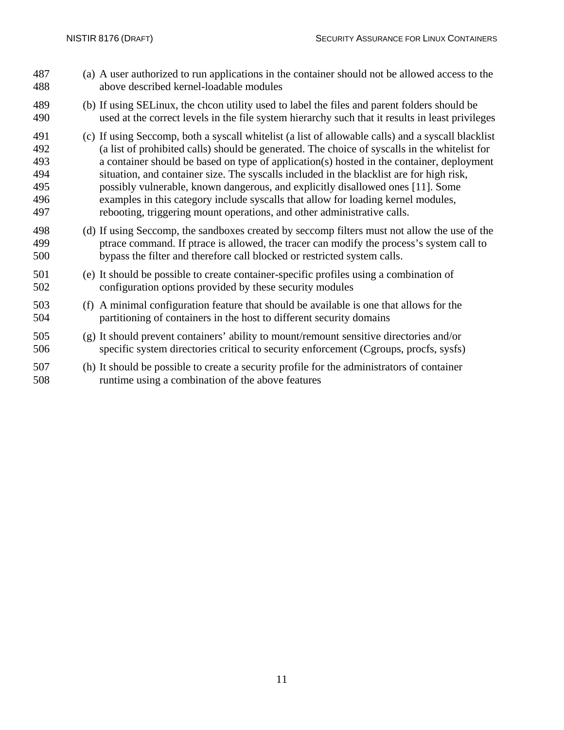(a) A user authorized to run applications in the container should not be allowed access to the above described kernel-loadable modules (b) If using SELinux, the chcon utility used to label the files and parent folders should be used at the correct levels in the file system hierarchy such that it results in least privileges (c) If using Seccomp, both a syscall whitelist (a list of allowable calls) and a syscall blacklist (a list of prohibited calls) should be generated. The choice of syscalls in the whitelist for a container should be based on type of application(s) hosted in the container, deployment situation, and container size. The syscalls included in the blacklist are for high risk, possibly vulnerable, known dangerous, and explicitly disallowed ones [11]. Some examples in this category include syscalls that allow for loading kernel modules, rebooting, triggering mount operations, and other administrative calls. (d) If using Seccomp, the sandboxes created by seccomp filters must not allow the use of the ptrace command. If ptrace is allowed, the tracer can modify the process's system call to bypass the filter and therefore call blocked or restricted system calls. (e) It should be possible to create container-specific profiles using a combination of configuration options provided by these security modules (f) A minimal configuration feature that should be available is one that allows for the partitioning of containers in the host to different security domains (g) It should prevent containers' ability to mount/remount sensitive directories and/or specific system directories critical to security enforcement (Cgroups, procfs, sysfs) (h) It should be possible to create a security profile for the administrators of container runtime using a combination of the above features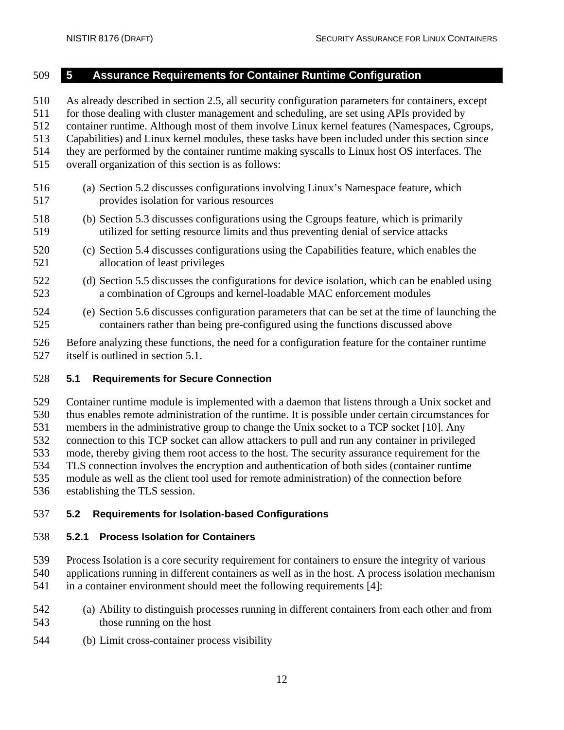#### <span id="page-21-0"></span>**5 Assurance Requirements for Container Runtime Configuration**

 As already described in section 2.5, all security configuration parameters for containers, except for those dealing with cluster management and scheduling, are set using APIs provided by container runtime. Although most of them involve Linux kernel features (Namespaces, Cgroups, Capabilities) and Linux kernel modules, these tasks have been included under this section since they are performed by the container runtime making syscalls to Linux host OS interfaces. The overall organization of this section is as follows: (a) Section 5.2 discusses configurations involving Linux's Namespace feature, which provides isolation for various resources (b) Section 5.3 discusses configurations using the Cgroups feature, which is primarily

- utilized for setting resource limits and thus preventing denial of service attacks
- (c) Section 5.4 discusses configurations using the Capabilities feature, which enables the allocation of least privileges
- (d) Section 5.5 discusses the configurations for device isolation, which can be enabled using a combination of Cgroups and kernel-loadable MAC enforcement modules
- (e) Section 5.6 discusses configuration parameters that can be set at the time of launching the containers rather than being pre-configured using the functions discussed above
- Before analyzing these functions, the need for a configuration feature for the container runtime itself is outlined in section 5.1.

#### <span id="page-21-1"></span>**5.1 Requirements for Secure Connection**

 Container runtime module is implemented with a daemon that listens through a Unix socket and thus enables remote administration of the runtime. It is possible under certain circumstances for members in the administrative group to change the Unix socket to a TCP socket [10]. Any connection to this TCP socket can allow attackers to pull and run any container in privileged mode, thereby giving them root access to the host. The security assurance requirement for the TLS connection involves the encryption and authentication of both sides (container runtime module as well as the client tool used for remote administration) of the connection before establishing the TLS session.

### <span id="page-21-2"></span>**5.2 Requirements for Isolation-based Configurations**

### <span id="page-21-3"></span>**5.2.1 Process Isolation for Containers**

 Process Isolation is a core security requirement for containers to ensure the integrity of various applications running in different containers as well as in the host. A process isolation mechanism

- in a container environment should meet the following requirements [4]:
- (a) Ability to distinguish processes running in different containers from each other and from those running on the host
- (b) Limit cross-container process visibility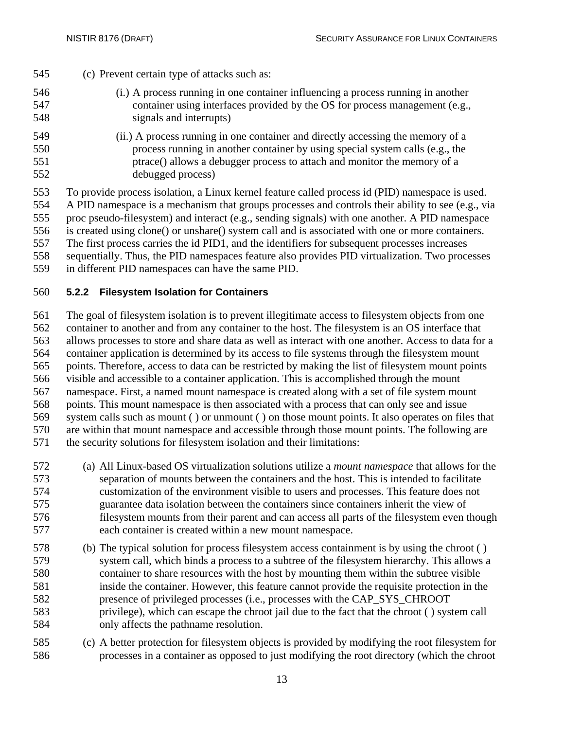- (c) Prevent certain type of attacks such as:
- (i.) A process running in one container influencing a process running in another container using interfaces provided by the OS for process management (e.g., signals and interrupts)
- (ii.) A process running in one container and directly accessing the memory of a process running in another container by using special system calls (e.g., the ptrace() allows a debugger process to attach and monitor the memory of a debugged process)

 To provide process isolation, a Linux kernel feature called process id (PID) namespace is used. A PID namespace is a mechanism that groups processes and controls their ability to see (e.g., via proc pseudo-filesystem) and interact (e.g., sending signals) with one another. A PID namespace is created using clone() or unshare() system call and is associated with one or more containers. The first process carries the id PID1, and the identifiers for subsequent processes increases sequentially. Thus, the PID namespaces feature also provides PID virtualization. Two processes

in different PID namespaces can have the same PID.

### <span id="page-22-0"></span>**5.2.2 Filesystem Isolation for Containers**

 The goal of filesystem isolation is to prevent illegitimate access to filesystem objects from one container to another and from any container to the host. The filesystem is an OS interface that allows processes to store and share data as well as interact with one another. Access to data for a container application is determined by its access to file systems through the filesystem mount points. Therefore, access to data can be restricted by making the list of filesystem mount points visible and accessible to a container application. This is accomplished through the mount namespace. First, a named mount namespace is created along with a set of file system mount points. This mount namespace is then associated with a process that can only see and issue system calls such as mount ( ) or unmount ( ) on those mount points. It also operates on files that are within that mount namespace and accessible through those mount points. The following are the security solutions for filesystem isolation and their limitations:

- (a) All Linux-based OS virtualization solutions utilize a *mount namespace* that allows for the separation of mounts between the containers and the host. This is intended to facilitate customization of the environment visible to users and processes. This feature does not guarantee data isolation between the containers since containers inherit the view of filesystem mounts from their parent and can access all parts of the filesystem even though each container is created within a new mount namespace.
- (b) The typical solution for process filesystem access containment is by using the chroot ( ) system call, which binds a process to a subtree of the filesystem hierarchy. This allows a container to share resources with the host by mounting them within the subtree visible inside the container. However, this feature cannot provide the requisite protection in the presence of privileged processes (i.e., processes with the CAP\_SYS\_CHROOT privilege), which can escape the chroot jail due to the fact that the chroot ( ) system call only affects the pathname resolution.
- (c) A better protection for filesystem objects is provided by modifying the root filesystem for processes in a container as opposed to just modifying the root directory (which the chroot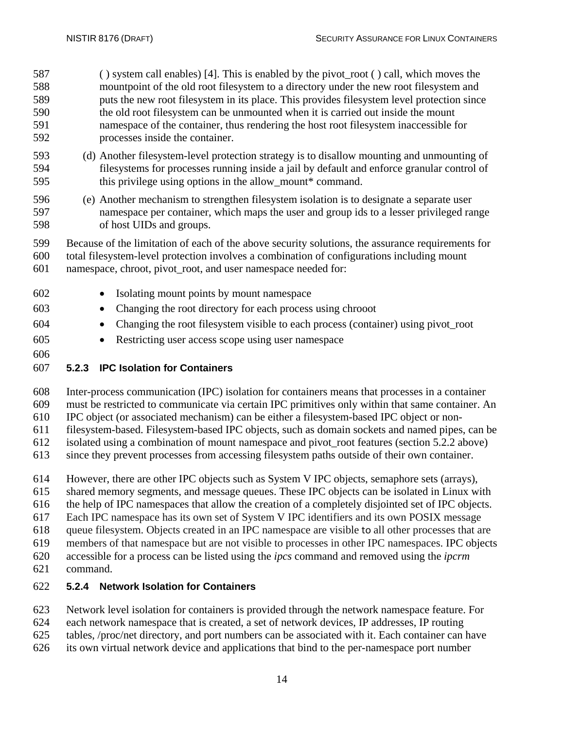( ) system call enables) [4]. This is enabled by the pivot\_root ( ) call, which moves the mountpoint of the old root filesystem to a directory under the new root filesystem and puts the new root filesystem in its place. This provides filesystem level protection since the old root filesystem can be unmounted when it is carried out inside the mount namespace of the container, thus rendering the host root filesystem inaccessible for processes inside the container.

- (d) Another filesystem-level protection strategy is to disallow mounting and unmounting of filesystems for processes running inside a jail by default and enforce granular control of 595 this privilege using options in the allow\_mount\* command.
- (e) Another mechanism to strengthen filesystem isolation is to designate a separate user namespace per container, which maps the user and group ids to a lesser privileged range of host UIDs and groups.
- Because of the limitation of each of the above security solutions, the assurance requirements for total filesystem-level protection involves a combination of configurations including mount namespace, chroot, pivot\_root, and user namespace needed for:
- Isolating mount points by mount namespace • Changing the root directory for each process using chrooot • Changing the root filesystem visible to each process (container) using pivot\_root
- Restricting user access scope using user namespace
- 

## <span id="page-23-0"></span>**5.2.3 IPC Isolation for Containers**

Inter-process communication (IPC) isolation for containers means that processes in a container

must be restricted to communicate via certain IPC primitives only within that same container. An

- IPC object (or associated mechanism) can be either a filesystem-based IPC object or non-
- filesystem-based. Filesystem-based IPC objects, such as domain sockets and named pipes, can be isolated using a combination of mount namespace and pivot\_root features (section 5.2.2 above)
- since they prevent processes from accessing filesystem paths outside of their own container.
- However, there are other IPC objects such as System V IPC objects, semaphore sets (arrays),
- shared memory segments, and message queues. These IPC objects can be isolated in Linux with
- the help of IPC namespaces that allow the creation of a completely disjointed set of IPC objects.
- Each IPC namespace has its own set of System V IPC identifiers and its own POSIX message
- queue filesystem. Objects created in an IPC namespace are visible to all other processes that are
- members of that namespace but are not visible to processes in other IPC namespaces. IPC objects
- accessible for a process can be listed using the *ipcs* command and removed using the *ipcrm*
- command.

## <span id="page-23-1"></span>**5.2.4 Network Isolation for Containers**

- Network level isolation for containers is provided through the network namespace feature. For
- each network namespace that is created, a set of network devices, IP addresses, IP routing
- tables, /proc/net directory, and port numbers can be associated with it. Each container can have
- its own virtual network device and applications that bind to the per-namespace port number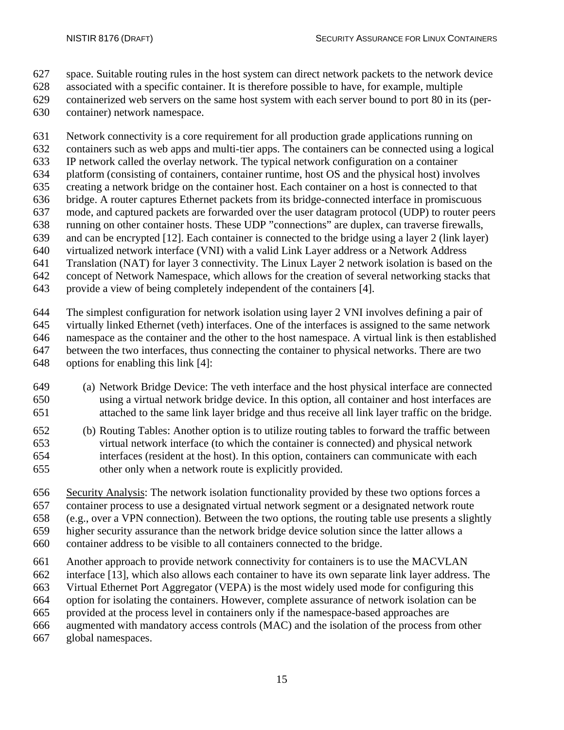- space. Suitable routing rules in the host system can direct network packets to the network device
- associated with a specific container. It is therefore possible to have, for example, multiple
- containerized web servers on the same host system with each server bound to port 80 in its (per-
- container) network namespace.
- Network connectivity is a core requirement for all production grade applications running on
- containers such as web apps and multi-tier apps. The containers can be connected using a logical
- IP network called the overlay network. The typical network configuration on a container
- platform (consisting of containers, container runtime, host OS and the physical host) involves
- creating a network bridge on the container host. Each container on a host is connected to that bridge. A router captures Ethernet packets from its bridge-connected interface in promiscuous
- mode, and captured packets are forwarded over the user datagram protocol (UDP) to router peers
- running on other container hosts. These UDP "connections" are duplex, can traverse firewalls,
- and can be encrypted [12]. Each container is connected to the bridge using a layer 2 (link layer)
- virtualized network interface (VNI) with a valid Link Layer address or a Network Address
- Translation (NAT) for layer 3 connectivity. The Linux Layer 2 network isolation is based on the
- concept of Network Namespace, which allows for the creation of several networking stacks that
- provide a view of being completely independent of the containers [4].
- The simplest configuration for network isolation using layer 2 VNI involves defining a pair of virtually linked Ethernet (veth) interfaces. One of the interfaces is assigned to the same network namespace as the container and the other to the host namespace. A virtual link is then established between the two interfaces, thus connecting the container to physical networks. There are two options for enabling this link [4]:
- (a) Network Bridge Device: The veth interface and the host physical interface are connected using a virtual network bridge device. In this option, all container and host interfaces are attached to the same link layer bridge and thus receive all link layer traffic on the bridge.
- (b) Routing Tables: Another option is to utilize routing tables to forward the traffic between virtual network interface (to which the container is connected) and physical network interfaces (resident at the host). In this option, containers can communicate with each other only when a network route is explicitly provided.
- Security Analysis: The network isolation functionality provided by these two options forces a container process to use a designated virtual network segment or a designated network route
- (e.g., over a VPN connection). Between the two options, the routing table use presents a slightly
- 
- higher security assurance than the network bridge device solution since the latter allows a
- container address to be visible to all containers connected to the bridge.
- Another approach to provide network connectivity for containers is to use the MACVLAN
- interface [13], which also allows each container to have its own separate link layer address. The
- Virtual Ethernet Port Aggregator (VEPA) is the most widely used mode for configuring this
- option for isolating the containers. However, complete assurance of network isolation can be
- provided at the process level in containers only if the namespace-based approaches are
- augmented with mandatory access controls (MAC) and the isolation of the process from other
- global namespaces.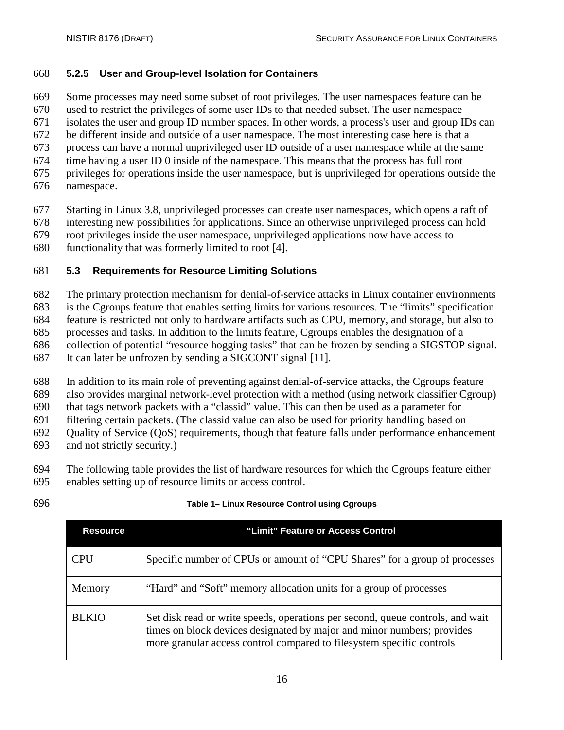#### <span id="page-25-0"></span>**5.2.5 User and Group-level Isolation for Containers**

Some processes may need some subset of root privileges. The user namespaces feature can be

used to restrict the privileges of some user IDs to that needed subset. The user namespace

isolates the user and group ID number spaces. In other words, a process's user and group IDs can

be different inside and outside of a user namespace. The most interesting case here is that a

- process can have a normal unprivileged user ID outside of a user namespace while at the same
- time having a user ID 0 inside of the namespace. This means that the process has full root
- privileges for operations inside the user namespace, but is unprivileged for operations outside the
- namespace.
- Starting in Linux 3.8, unprivileged processes can create user namespaces, which opens a raft of
- interesting new possibilities for applications. Since an otherwise unprivileged process can hold
- root privileges inside the user namespace, unprivileged applications now have access to
- functionality that was formerly limited to root [4].

## <span id="page-25-1"></span>**5.3 Requirements for Resource Limiting Solutions**

The primary protection mechanism for denial-of-service attacks in Linux container environments

- is the Cgroups feature that enables setting limits for various resources. The "limits" specification
- feature is restricted not only to hardware artifacts such as CPU, memory, and storage, but also to
- processes and tasks. In addition to the limits feature, Cgroups enables the designation of a
- collection of potential "resource hogging tasks" that can be frozen by sending a SIGSTOP signal.
- It can later be unfrozen by sending a SIGCONT signal [11].
- In addition to its main role of preventing against denial-of-service attacks, the Cgroups feature
- also provides marginal network-level protection with a method (using network classifier Cgroup)

that tags network packets with a "classid" value. This can then be used as a parameter for

filtering certain packets. (The classid value can also be used for priority handling based on

- Quality of Service (QoS) requirements, though that feature falls under performance enhancement
- and not strictly security.)
- The following table provides the list of hardware resources for which the Cgroups feature either
- enables setting
- 

| que of resource limits or access control. |  |
|-------------------------------------------|--|
|-------------------------------------------|--|

<span id="page-25-2"></span>

| <b>Resource</b> | "Limit" Feature or Access Control                                                                                                                                                                                                 |
|-----------------|-----------------------------------------------------------------------------------------------------------------------------------------------------------------------------------------------------------------------------------|
| CPU             | Specific number of CPUs or amount of "CPU Shares" for a group of processes                                                                                                                                                        |
| Memory          | "Hard" and "Soft" memory allocation units for a group of processes                                                                                                                                                                |
| <b>BLKIO</b>    | Set disk read or write speeds, operations per second, queue controls, and wait<br>times on block devices designated by major and minor numbers; provides<br>more granular access control compared to filesystem specific controls |

### **Table 1– Linux Resource Control using Cgroups**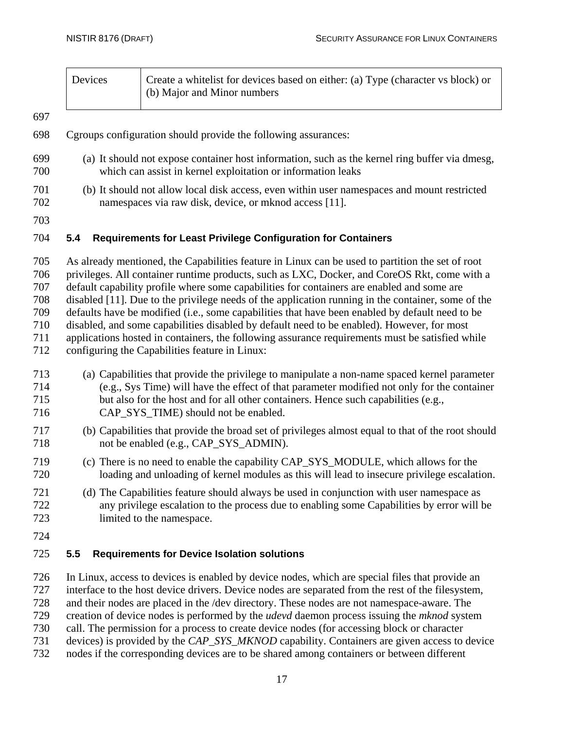| Devices | Create a whitelist for devices based on either: (a) Type (character vs block) or |
|---------|----------------------------------------------------------------------------------|
|         | (b) Major and Minor numbers                                                      |

#### 

- Cgroups configuration should provide the following assurances:
- (a) It should not expose container host information, such as the kernel ring buffer via dmesg, which can assist in kernel exploitation or information leaks
- (b) It should not allow local disk access, even within user namespaces and mount restricted namespaces via raw disk, device, or mknod access [11].
- 

#### <span id="page-26-0"></span>**5.4 Requirements for Least Privilege Configuration for Containers**

 As already mentioned, the Capabilities feature in Linux can be used to partition the set of root privileges. All container runtime products, such as LXC, Docker, and CoreOS Rkt, come with a default capability profile where some capabilities for containers are enabled and some are disabled [11]. Due to the privilege needs of the application running in the container, some of the defaults have be modified (i.e., some capabilities that have been enabled by default need to be disabled, and some capabilities disabled by default need to be enabled). However, for most 711 applications hosted in containers, the following assurance requirements must be satisfied while<br>712 configuring the Capabilities feature in Linux: configuring the Capabilities feature in Linux:

- (a) Capabilities that provide the privilege to manipulate a non-name spaced kernel parameter (e.g., Sys Time) will have the effect of that parameter modified not only for the container but also for the host and for all other containers. Hence such capabilities (e.g., 716 CAP SYS TIME) should not be enabled.
- (b) Capabilities that provide the broad set of privileges almost equal to that of the root should not be enabled (e.g., CAP\_SYS\_ADMIN).
- (c) There is no need to enable the capability CAP\_SYS\_MODULE, which allows for the loading and unloading of kernel modules as this will lead to insecure privilege escalation.
- (d) The Capabilities feature should always be used in conjunction with user namespace as any privilege escalation to the process due to enabling some Capabilities by error will be limited to the namespace.
- 

#### <span id="page-26-1"></span>**5.5 Requirements for Device Isolation solutions**

 In Linux, access to devices is enabled by device nodes, which are special files that provide an interface to the host device drivers. Device nodes are separated from the rest of the filesystem, and their nodes are placed in the /dev directory. These nodes are not namespace-aware. The creation of device nodes is performed by the *udevd* daemon process issuing the *mknod* system call. The permission for a process to create device nodes (for accessing block or character devices) is provided by the *CAP\_SYS\_MKNOD* capability. Containers are given access to device

nodes if the corresponding devices are to be shared among containers or between different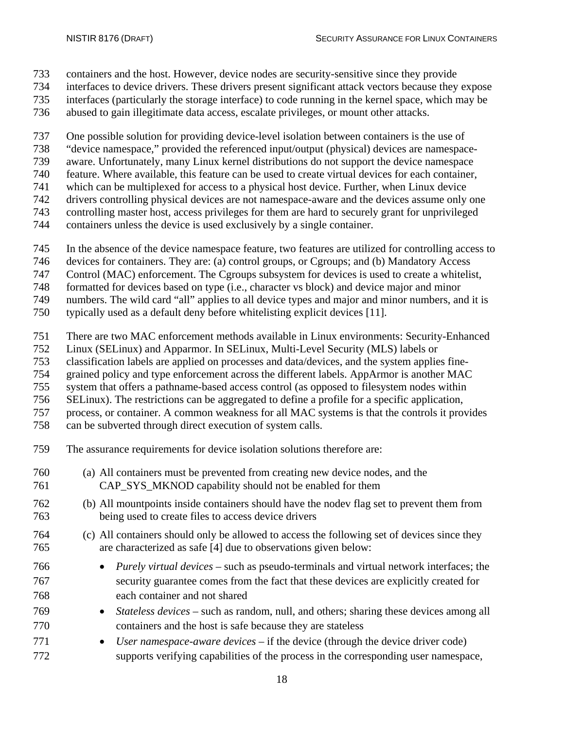- containers and the host. However, device nodes are security-sensitive since they provide
- interfaces to device drivers. These drivers present significant attack vectors because they expose
- interfaces (particularly the storage interface) to code running in the kernel space, which may be
- abused to gain illegitimate data access, escalate privileges, or mount other attacks.

One possible solution for providing device-level isolation between containers is the use of

- "device namespace," provided the referenced input/output (physical) devices are namespace-
- aware. Unfortunately, many Linux kernel distributions do not support the device namespace
- feature. Where available, this feature can be used to create virtual devices for each container,
- which can be multiplexed for access to a physical host device. Further, when Linux device
- drivers controlling physical devices are not namespace-aware and the devices assume only one
- controlling master host, access privileges for them are hard to securely grant for unprivileged
- containers unless the device is used exclusively by a single container.
- In the absence of the device namespace feature, two features are utilized for controlling access to
- devices for containers. They are: (a) control groups, or Cgroups; and (b) Mandatory Access
- Control (MAC) enforcement. The Cgroups subsystem for devices is used to create a whitelist,
- formatted for devices based on type (i.e., character vs block) and device major and minor
- numbers. The wild card "all" applies to all device types and major and minor numbers, and it is
- typically used as a default deny before whitelisting explicit devices [11].
- There are two MAC enforcement methods available in Linux environments: Security-Enhanced
- Linux (SELinux) and Apparmor. In SELinux, Multi-Level Security (MLS) labels or
- classification labels are applied on processes and data/devices, and the system applies fine-
- grained policy and type enforcement across the different labels. AppArmor is another MAC
- system that offers a pathname-based access control (as opposed to filesystem nodes within
- SELinux). The restrictions can be aggregated to define a profile for a specific application,
- process, or container. A common weakness for all MAC systems is that the controls it provides
- can be subverted through direct execution of system calls.
- The assurance requirements for device isolation solutions therefore are:
- (a) All containers must be prevented from creating new device nodes, and the CAP\_SYS\_MKNOD capability should not be enabled for them
- (b) All mountpoints inside containers should have the nodev flag set to prevent them from being used to create files to access device drivers
- (c) All containers should only be allowed to access the following set of devices since they are characterized as safe [4] due to observations given below:
- *Purely virtual devices* such as pseudo-terminals and virtual network interfaces; the security guarantee comes from the fact that these devices are explicitly created for each container and not shared
- *Stateless devices* such as random, null, and others; sharing these devices among all containers and the host is safe because they are stateless
- *User namespace-aware devices* if the device (through the device driver code) supports verifying capabilities of the process in the corresponding user namespace,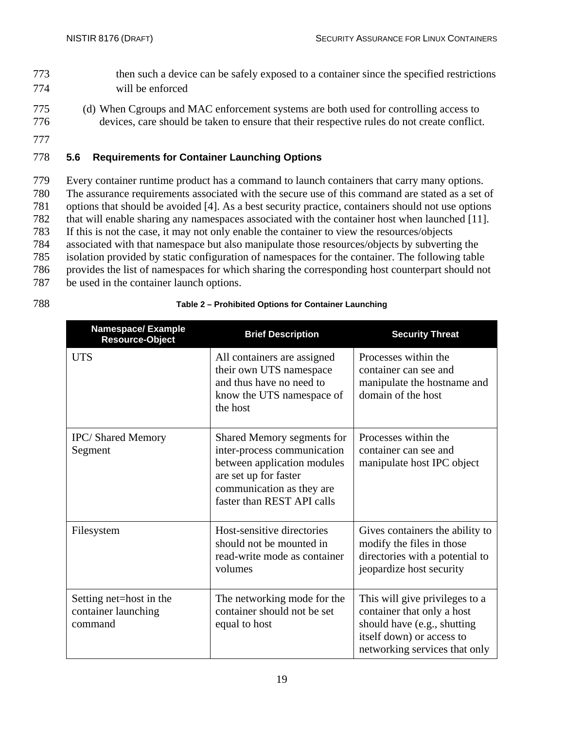- 773 then such a device can be safely exposed to a container since the specified restrictions 774 will be enforced
- 775 (d) When Cgroups and MAC enforcement systems are both used for controlling access to 776 devices, care should be taken to ensure that their respective rules do not create conflict.
- 777

#### <span id="page-28-0"></span>778 **5.6 Requirements for Container Launching Options**

 Every container runtime product has a command to launch containers that carry many options. The assurance requirements associated with the secure use of this command are stated as a set of options that should be avoided [4]. As a best security practice, containers should not use options that will enable sharing any namespaces associated with the container host when launched [11]. If this is not the case, it may not only enable the container to view the resources/objects associated with that namespace but also manipulate those resources/objects by subverting the isolation provided by static configuration of namespaces for the container. The following table provides the list of namespaces for which sharing the corresponding host counterpart should not be used in the container launch options.

#### 788 **Table 2 – Prohibited Options for Container Launching**

<span id="page-28-1"></span>

| <b>Namespace/Example</b><br><b>Resource-Object</b>        | <b>Brief Description</b>                                                                                                                                                     | <b>Security Threat</b>                                                                                                                                    |
|-----------------------------------------------------------|------------------------------------------------------------------------------------------------------------------------------------------------------------------------------|-----------------------------------------------------------------------------------------------------------------------------------------------------------|
| <b>UTS</b>                                                | All containers are assigned<br>their own UTS namespace<br>and thus have no need to<br>know the UTS namespace of<br>the host                                                  | Processes within the<br>container can see and<br>manipulate the hostname and<br>domain of the host                                                        |
| <b>IPC/Shared Memory</b><br>Segment                       | Shared Memory segments for<br>inter-process communication<br>between application modules<br>are set up for faster<br>communication as they are<br>faster than REST API calls | Processes within the<br>container can see and<br>manipulate host IPC object                                                                               |
| Filesystem                                                | Host-sensitive directories<br>should not be mounted in<br>read-write mode as container<br>volumes                                                                            | Gives containers the ability to<br>modify the files in those<br>directories with a potential to<br>jeopardize host security                               |
| Setting net=host in the<br>container launching<br>command | The networking mode for the<br>container should not be set<br>equal to host                                                                                                  | This will give privileges to a<br>container that only a host<br>should have (e.g., shutting<br>itself down) or access to<br>networking services that only |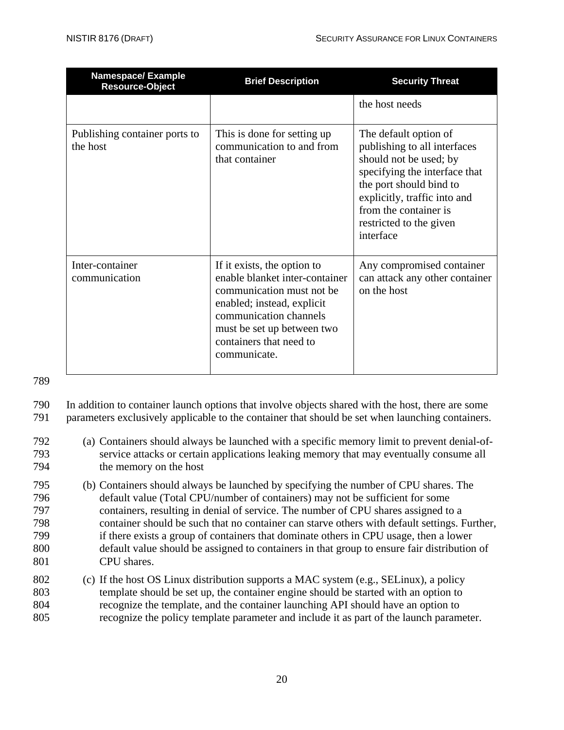| <b>Namespace/Example</b><br><b>Resource-Object</b> | <b>Brief Description</b>                                                                                                                                                                                                    | <b>Security Threat</b>                                                                                                                                                                                                                       |
|----------------------------------------------------|-----------------------------------------------------------------------------------------------------------------------------------------------------------------------------------------------------------------------------|----------------------------------------------------------------------------------------------------------------------------------------------------------------------------------------------------------------------------------------------|
|                                                    |                                                                                                                                                                                                                             | the host needs                                                                                                                                                                                                                               |
| Publishing container ports to<br>the host          | This is done for setting up<br>communication to and from<br>that container                                                                                                                                                  | The default option of<br>publishing to all interfaces<br>should not be used; by<br>specifying the interface that<br>the port should bind to<br>explicitly, traffic into and<br>from the container is<br>restricted to the given<br>interface |
| Inter-container<br>communication                   | If it exists, the option to<br>enable blanket inter-container<br>communication must not be<br>enabled; instead, explicit<br>communication channels<br>must be set up between two<br>containers that need to<br>communicate. | Any compromised container<br>can attack any other container<br>on the host                                                                                                                                                                   |

789

790 In addition to container launch options that involve objects shared with the host, there are some 791 parameters exclusively applicable to the container that should be set when launching containers.

- 792 (a) Containers should always be launched with a specific memory limit to prevent denial-of-793 service attacks or certain applications leaking memory that may eventually consume all 794 the memory on the host
- 795 (b) Containers should always be launched by specifying the number of CPU shares. The 796 default value (Total CPU/number of containers) may not be sufficient for some 797 containers, resulting in denial of service. The number of CPU shares assigned to a 798 container should be such that no container can starve others with default settings. Further, 799 if there exists a group of containers that dominate others in CPU usage, then a lower 800 default value should be assigned to containers in that group to ensure fair distribution of 801 CPU shares.
- 802 (c) If the host OS Linux distribution supports a MAC system (e.g., SELinux), a policy 803 template should be set up, the container engine should be started with an option to 804 recognize the template, and the container launching API should have an option to 805 recognize the policy template parameter and include it as part of the launch parameter.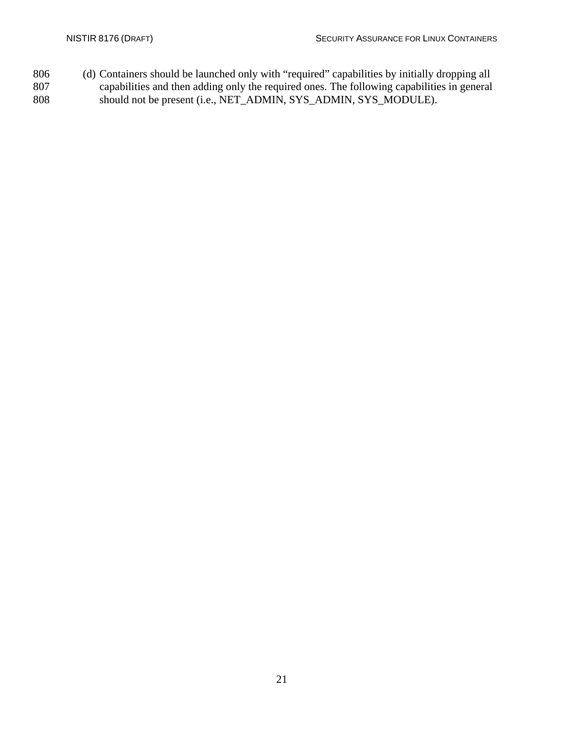806 (d) Containers should be launched only with "required" capabilities by initially dropping all capabilities and then adding only the required ones. The following capabilities in general 807 capabilities and then adding only the required ones. The following capabilities in general<br>808 should not be present (i.e., NET\_ADMIN, SYS\_ADMIN, SYS\_MODULE). should not be present (i.e., NET\_ADMIN, SYS\_ADMIN, SYS\_MODULE).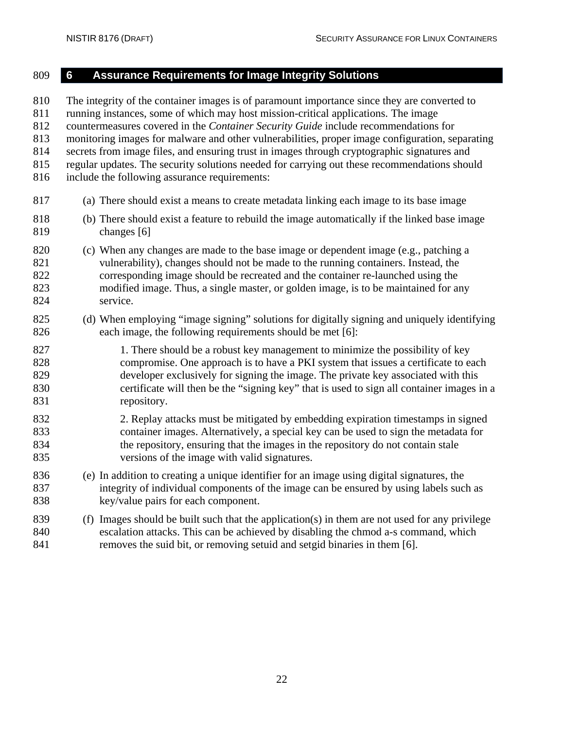## <span id="page-31-0"></span> **6 Assurance Requirements for Image Integrity Solutions** The integrity of the container images is of paramount importance since they are converted to running instances, some of which may host mission-critical applications. The image countermeasures covered in the *Container Security Guide* include recommendations for monitoring images for malware and other vulnerabilities, proper image configuration, separating secrets from image files, and ensuring trust in images through cryptographic signatures and regular updates. The security solutions needed for carrying out these recommendations should include the following assurance requirements: (a) There should exist a means to create metadata linking each image to its base image (b) There should exist a feature to rebuild the image automatically if the linked base image changes [6] (c) When any changes are made to the base image or dependent image (e.g., patching a vulnerability), changes should not be made to the running containers. Instead, the corresponding image should be recreated and the container re-launched using the modified image. Thus, a single master, or golden image, is to be maintained for any service. (d) When employing "image signing" solutions for digitally signing and uniquely identifying each image, the following requirements should be met [6]: 827 1. There should be a robust key management to minimize the possibility of key compromise. One approach is to have a PKI system that issues a certificate to each developer exclusively for signing the image. The private key associated with this certificate will then be the "signing key" that is used to sign all container images in a 831 repository. 2. Replay attacks must be mitigated by embedding expiration timestamps in signed container images. Alternatively, a special key can be used to sign the metadata for the repository, ensuring that the images in the repository do not contain stale versions of the image with valid signatures. (e) In addition to creating a unique identifier for an image using digital signatures, the integrity of individual components of the image can be ensured by using labels such as key/value pairs for each component. (f) Images should be built such that the application(s) in them are not used for any privilege escalation attacks. This can be achieved by disabling the chmod a-s command, which

removes the suid bit, or removing setuid and setgid binaries in them [6].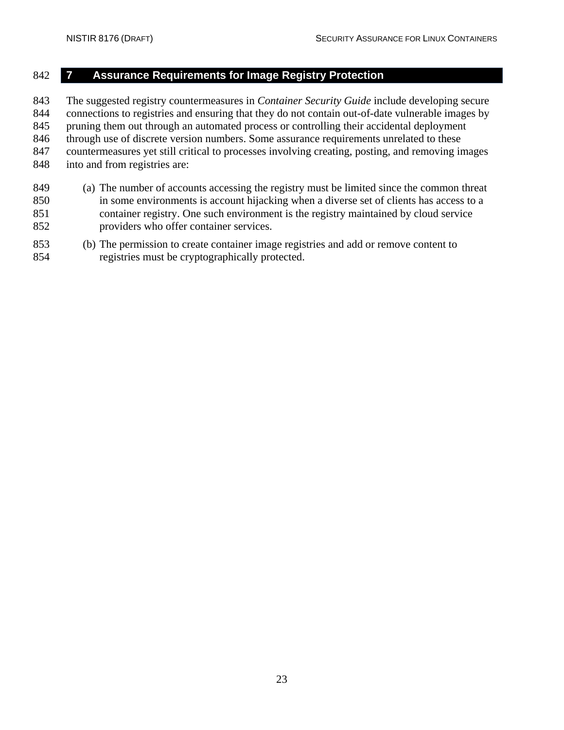#### <span id="page-32-0"></span>**7 Assurance Requirements for Image Registry Protection**

 The suggested registry countermeasures in *Container Security Guide* include developing secure connections to registries and ensuring that they do not contain out-of-date vulnerable images by pruning them out through an automated process or controlling their accidental deployment through use of discrete version numbers. Some assurance requirements unrelated to these countermeasures yet still critical to processes involving creating, posting, and removing images into and from registries are:

- (a) The number of accounts accessing the registry must be limited since the common threat in some environments is account hijacking when a diverse set of clients has access to a container registry. One such environment is the registry maintained by cloud service providers who offer container services.
- (b) The permission to create container image registries and add or remove content to registries must be cryptographically protected.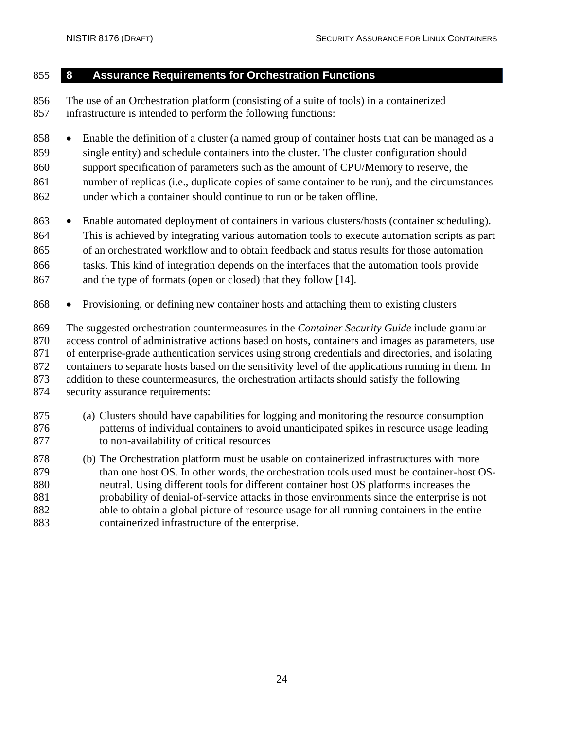### <span id="page-33-0"></span>**8 Assurance Requirements for Orchestration Functions**

 The use of an Orchestration platform (consisting of a suite of tools) in a containerized infrastructure is intended to perform the following functions:

 • Enable the definition of a cluster (a named group of container hosts that can be managed as a single entity) and schedule containers into the cluster. The cluster configuration should support specification of parameters such as the amount of CPU/Memory to reserve, the number of replicas (i.e., duplicate copies of same container to be run), and the circumstances under which a container should continue to run or be taken offline.

- Enable automated deployment of containers in various clusters/hosts (container scheduling). This is achieved by integrating various automation tools to execute automation scripts as part of an orchestrated workflow and to obtain feedback and status results for those automation tasks. This kind of integration depends on the interfaces that the automation tools provide and the type of formats (open or closed) that they follow [14].
- Provisioning, or defining new container hosts and attaching them to existing clusters

 The suggested orchestration countermeasures in the *Container Security Guide* include granular access control of administrative actions based on hosts, containers and images as parameters, use of enterprise-grade authentication services using strong credentials and directories, and isolating containers to separate hosts based on the sensitivity level of the applications running in them. In addition to these countermeasures, the orchestration artifacts should satisfy the following security assurance requirements:

- (a) Clusters should have capabilities for logging and monitoring the resource consumption patterns of individual containers to avoid unanticipated spikes in resource usage leading to non-availability of critical resources
- (b) The Orchestration platform must be usable on containerized infrastructures with more 879 than one host OS. In other words, the orchestration tools used must be container-host OS- neutral. Using different tools for different container host OS platforms increases the probability of denial-of-service attacks in those environments since the enterprise is not able to obtain a global picture of resource usage for all running containers in the entire containerized infrastructure of the enterprise.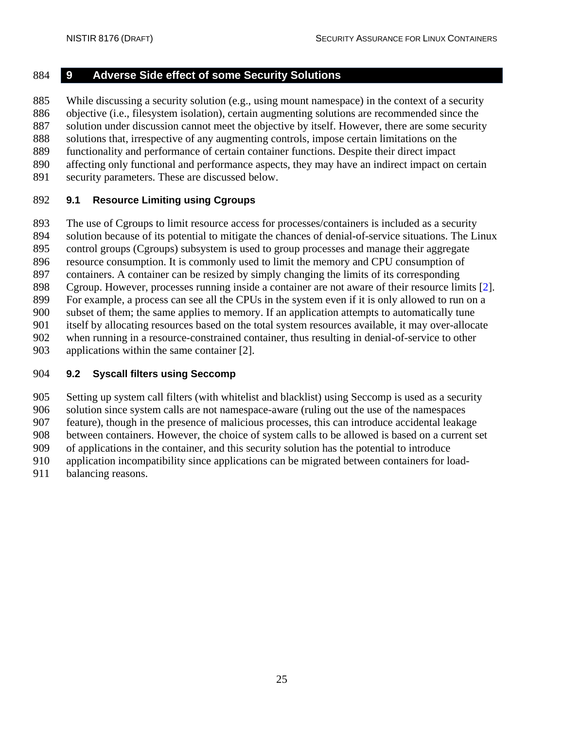#### <span id="page-34-0"></span>**9 Adverse Side effect of some Security Solutions**

 While discussing a security solution (e.g., using mount namespace) in the context of a security objective (i.e., filesystem isolation), certain augmenting solutions are recommended since the 887 solution under discussion cannot meet the objective by itself. However, there are some security solutions that, irrespective of any augmenting controls, impose certain limitations on the functionality and performance of certain container functions. Despite their direct impact affecting only functional and performance aspects, they may have an indirect impact on certain

security parameters. These are discussed below.

#### <span id="page-34-1"></span>**9.1 Resource Limiting using Cgroups**

 The use of Cgroups to limit resource access for processes/containers is included as a security solution because of its potential to mitigate the chances of denial-of-service situations. The Linux control groups (Cgroups) subsystem is used to group processes and manage their aggregate

 resource consumption. It is commonly used to limit the memory and CPU consumption of containers. A container can be resized by simply changing the limits of its corresponding

Cgroup. However, processes running inside a container are not aware of their resource limits [2].

For example, a process can see all the CPUs in the system even if it is only allowed to run on a

subset of them; the same applies to memory. If an application attempts to automatically tune

itself by allocating resources based on the total system resources available, it may over-allocate

when running in a resource-constrained container, thus resulting in denial-of-service to other

applications within the same container [2].

#### <span id="page-34-2"></span>**9.2 Syscall filters using Seccomp**

 Setting up system call filters (with whitelist and blacklist) using Seccomp is used as a security solution since system calls are not namespace-aware (ruling out the use of the namespaces

feature), though in the presence of malicious processes, this can introduce accidental leakage

between containers. However, the choice of system calls to be allowed is based on a current set

of applications in the container, and this security solution has the potential to introduce

application incompatibility since applications can be migrated between containers for load-

balancing reasons.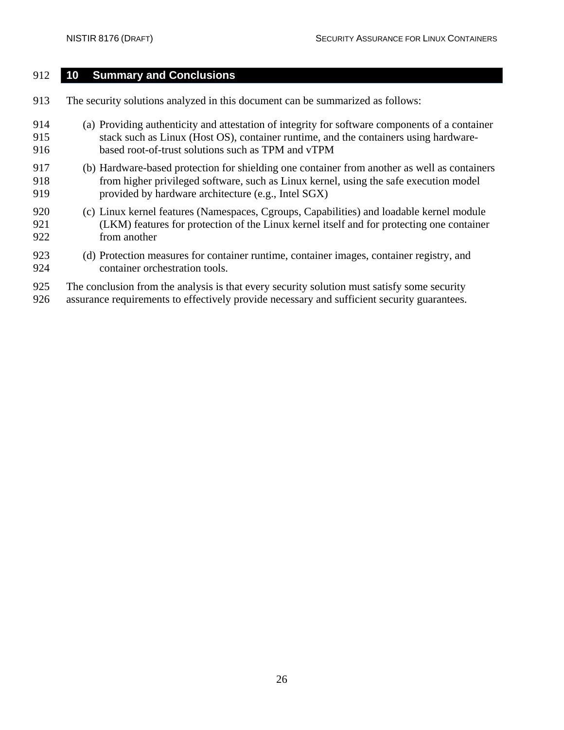#### <span id="page-35-0"></span>**10 Summary and Conclusions**

- The security solutions analyzed in this document can be summarized as follows:
- (a) Providing authenticity and attestation of integrity for software components of a container stack such as Linux (Host OS), container runtime, and the containers using hardware-based root-of-trust solutions such as TPM and vTPM
- (b) Hardware-based protection for shielding one container from another as well as containers from higher privileged software, such as Linux kernel, using the safe execution model provided by hardware architecture (e.g., Intel SGX)
- (c) Linux kernel features (Namespaces, Cgroups, Capabilities) and loadable kernel module (LKM) features for protection of the Linux kernel itself and for protecting one container from another
- (d) Protection measures for container runtime, container images, container registry, and container orchestration tools.
- The conclusion from the analysis is that every security solution must satisfy some security
- assurance requirements to effectively provide necessary and sufficient security guarantees.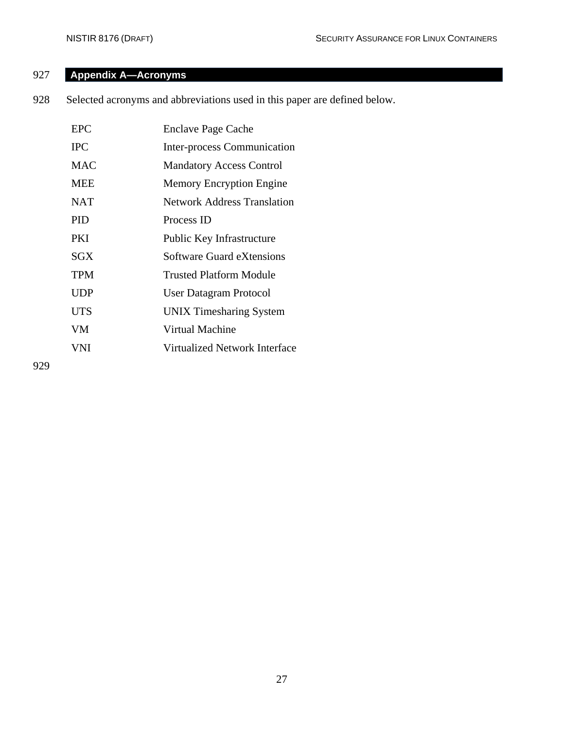## <span id="page-36-0"></span>927 **Appendix A—Acronyms**

928 Selected acronyms and abbreviations used in this paper are defined below.

| <b>EPC</b> | <b>Enclave Page Cache</b>          |
|------------|------------------------------------|
| <b>IPC</b> | Inter-process Communication        |
| <b>MAC</b> | <b>Mandatory Access Control</b>    |
| <b>MEE</b> | Memory Encryption Engine           |
| <b>NAT</b> | <b>Network Address Translation</b> |
| <b>PID</b> | Process ID                         |
| <b>PKI</b> | Public Key Infrastructure          |
| SGX        | Software Guard eXtensions          |
| <b>TPM</b> | Trusted Platform Module            |
| UDP        | <b>User Datagram Protocol</b>      |
| <b>UTS</b> | <b>UNIX Timesharing System</b>     |
| <b>VM</b>  | Virtual Machine                    |
| VNI.       | Virtualized Network Interface      |
|            |                                    |

929